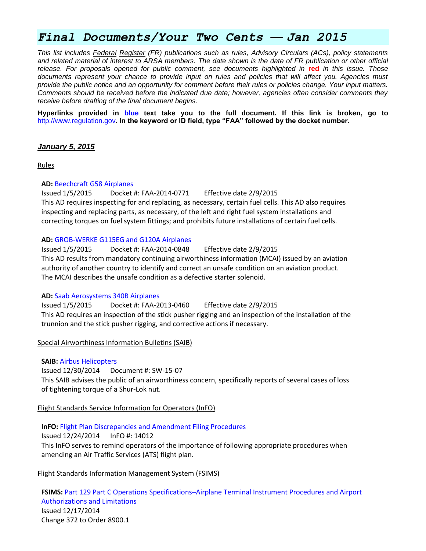# *Final Documents/Your Two Cents — Jan 2015*

*This list includes Federal Register (FR) publications such as rules, Advisory Circulars (ACs), policy statements and related material of interest to ARSA members. The date shown is the date of FR publication or other official release. For proposals opened for public comment, see documents highlighted in* **red** *in this issue. Those documents represent your chance to provide input on rules and policies that will affect you. Agencies must provide the public notice and an opportunity for comment before their rules or policies change. Your input matters. Comments should be received before the indicated due date; however, agencies often consider comments they receive before drafting of the final document begins.*

**Hyperlinks provided in blue text take you to the full document. If this link is broken, go to**  [http://www.regulation.gov](http://www.regulation.gov/)**. In the keyword or ID field, type "FAA" followed by the docket number.**

#### *January 5, 2015*

Rules

#### **AD:** [Beechcraft G58 Airplanes](https://www.federalregister.gov/articles/2015/01/05/2014-30490/airworthiness-directives-beechcraft-corporation-airplanes)

Issued 1/5/2015 Docket #: FAA-2014-0771 Effective date 2/9/2015 This AD requires inspecting for and replacing, as necessary, certain fuel cells. This AD also requires inspecting and replacing parts, as necessary, of the left and right fuel system installations and correcting torques on fuel system fittings; and prohibits future installations of certain fuel cells.

#### **AD:** [GROB-WERKE G115EG and G120A Airplanes](https://www.federalregister.gov/articles/2015/01/05/2014-30489/airworthiness-directives-grob-werke-airplanes)

Issued 1/5/2015 Docket #: FAA-2014-0848 Effective date 2/9/2015 This AD results from mandatory continuing airworthiness information (MCAI) issued by an aviation authority of another country to identify and correct an unsafe condition on an aviation product. The MCAI describes the unsafe condition as a defective starter solenoid.

#### **AD:** [Saab Aerosystems 340B Airplanes](https://www.federalregister.gov/articles/2015/01/05/2014-30428/airworthiness-directives-saab-ab-saab-aerosystems-airplanes)

Issued 1/5/2015 Docket #: FAA-2013-0460 Effective date 2/9/2015 This AD requires an inspection of the stick pusher rigging and an inspection of the installation of the trunnion and the stick pusher rigging, and corrective actions if necessary.

Special Airworthiness Information Bulletins (SAIB)

#### **SAIB:** [Airbus Helicopters](http://rgl.faa.gov/Regulatory_and_Guidance_Library/rgSAIB.nsf/dc7bd4f27e5f107486257221005f069d/2b43c1d6baaedda186257dbe00738c0e/$FILE/SW-15-07.pdf)

Issued 12/30/2014 Document #: SW-15-07 This SAIB advises the public of an airworthiness concern, specifically reports of several cases of loss of tightening torque of a Shur-Lok nut.

#### Flight Standards Service Information for Operators (InFO)

# **InFO:** [Flight Plan Discrepancies and Amendment Filing Procedures](http://www.faa.gov/other_visit/aviation_industry/airline_operators/airline_safety/info/all_infos/media/2014/InFO14012.pdf)

Issued 12/24/2014 InFO #: 14012 This InFO serves to remind operators of the importance of following appropriate procedures when amending an Air Traffic Services (ATS) flight plan.

# Flight Standards Information Management System (FSIMS)

**FSIMS:** Part 129 Part C Operations Specifications–[Airplane Terminal Instrument Procedures and Airport](http://fsims.faa.gov/PICDetail.aspx?docId=8900.1,Vol.12,Ch2,Sec5)  [Authorizations and Limitations](http://fsims.faa.gov/PICDetail.aspx?docId=8900.1,Vol.12,Ch2,Sec5) Issued 12/17/2014 Change 372 to Order 8900.1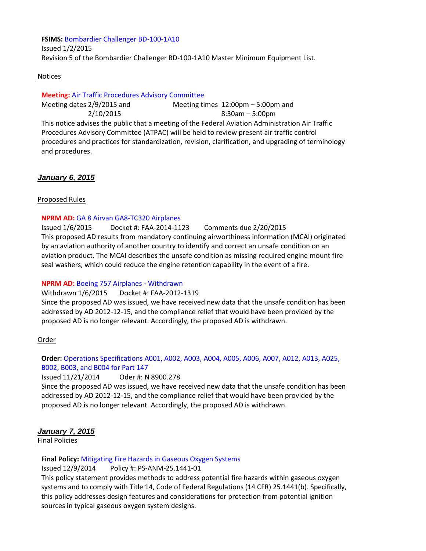#### **FSIMS:** [Bombardier Challenger BD-100-1A10](http://fsims.faa.gov/PICDetail.aspx?docId=M%20BD-100-1A10%20R5)

Issued 1/2/2015 Revision 5 of the Bombardier Challenger BD-100-1A10 Master Minimum Equipment List.

#### Notices

#### **Meeting:** [Air Traffic Procedures Advisory Committee](https://www.federalregister.gov/articles/2015/01/02/2014-30358/air-traffic-procedures-advisory-committee)

Meeting dates 2/9/2015 and 2/10/2015 Meeting times 12:00pm – 5:00pm and 8:30am – 5:00pm This notice advises the public that a meeting of the Federal Aviation Administration Air Traffic Procedures Advisory Committee (ATPAC) will be held to review present air traffic control procedures and practices for standardization, revision, clarification, and upgrading of terminology and procedures.

### *January 6, 2015*

#### Proposed Rules

#### **NPRM AD:** [GA 8 Airvan GA8-TC320 Airplanes](https://www.federalregister.gov/articles/2015/01/06/2014-30910/airworthiness-directives-ga-8-airvan-pty-ltd-airplanes)

Issued 1/6/2015 Docket #: FAA-2014-1123 Comments due 2/20/2015 This proposed AD results from mandatory continuing airworthiness information (MCAI) originated by an aviation authority of another country to identify and correct an unsafe condition on an aviation product. The MCAI describes the unsafe condition as missing required engine mount fire seal washers, which could reduce the engine retention capability in the event of a fire.

#### **NPRM AD:** [Boeing 757 Airplanes -](https://www.federalregister.gov/articles/2015/01/06/2014-30911/airworthiness-directives-the-boeing-company-airplanes) Withdrawn

Withdrawn 1/6/2015 Docket #: FAA-2012-1319

Since the proposed AD was issued, we have received new data that the unsafe condition has been addressed by AD 2012-12-15, and the compliance relief that would have been provided by the proposed AD is no longer relevant. Accordingly, the proposed AD is withdrawn.

#### Order

### **Order:** [Operations Specifications A001, A002, A003, A004, A005, A006, A007, A012, A013, A025,](http://www.faa.gov/regulations_policies/orders_notices/index.cfm/go/document.information/documentID/1026307)  [B002, B003, and B004 for Part 147](http://www.faa.gov/regulations_policies/orders_notices/index.cfm/go/document.information/documentID/1026307)

#### Issued 11/21/2014 Oder #: N 8900.278

Since the proposed AD was issued, we have received new data that the unsafe condition has been addressed by AD 2012-12-15, and the compliance relief that would have been provided by the proposed AD is no longer relevant. Accordingly, the proposed AD is withdrawn.

# *January 7, 2015*

Final Policies

#### **Final Policy:** [Mitigating Fire Hazards in Gaseous Oxygen Systems](http://rgl.faa.gov/Regulatory_and_Guidance_Library/rgPolicy.nsf/0/A54651A8AABE42F486257DC4006DAD32?OpenDocument)

Issued 12/9/2014 Policy #: PS-ANM-25.1441-01

This policy statement provides methods to address potential fire hazards within gaseous oxygen systems and to comply with Title 14, Code of Federal Regulations (14 CFR) 25.1441(b). Specifically, this policy addresses design features and considerations for protection from potential ignition sources in typical gaseous oxygen system designs.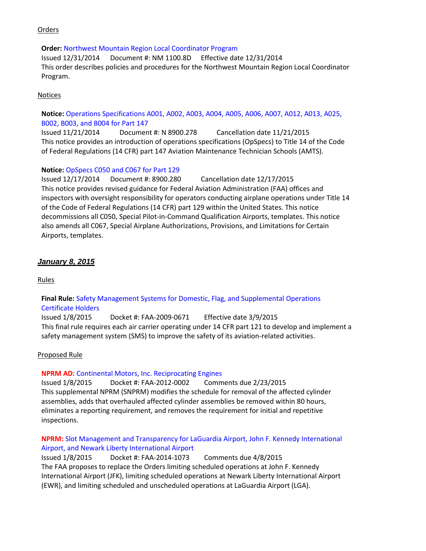## **Orders**

#### **Order:** [Northwest Mountain Region Local Coordinator Program](http://www.faa.gov/regulations_policies/orders_notices/index.cfm/go/document.information/documentID/1026586)

Issued 12/31/2014 Document #: NM 1100.8D Effective date 12/31/2014 This order describes policies and procedures for the Northwest Mountain Region Local Coordinator Program.

### Notices

# **Notice:** [Operations Specifications A001, A002, A003, A004, A005, A006, A007, A012, A013, A025,](http://www.faa.gov/regulations_policies/orders_notices/index.cfm/go/document.information/documentID/1026307)  [B002, B003, and B004 for Part 147](http://www.faa.gov/regulations_policies/orders_notices/index.cfm/go/document.information/documentID/1026307)

Issued 11/21/2014 Document #: N 8900.278 Cancellation date 11/21/2015 This notice provides an introduction of operations specifications (OpSpecs) to Title 14 of the Code of Federal Regulations (14 CFR) part 147 Aviation Maintenance Technician Schools (AMTS).

# **Notice:** [OpSpecs C050 and C067 for Part 129](http://www.faa.gov/regulations_policies/orders_notices/index.cfm/go/document.information/documentID/1026466)

Issued 12/17/2014 Document #: 8900.280 Cancellation date 12/17/2015 This notice provides revised guidance for Federal Aviation Administration (FAA) offices and inspectors with oversight responsibility for operators conducting airplane operations under Title 14 of the Code of Federal Regulations (14 CFR) part 129 within the United States. This notice decommissions all C050, Special Pilot-in-Command Qualification Airports, templates. This notice also amends all C067, Special Airplane Authorizations, Provisions, and Limitations for Certain Airports, templates.

### *January 8, 2015*

Rules

# **Final Rule:** [Safety Management Systems for Domestic, Flag, and Supplemental Operations](https://www.federalregister.gov/articles/2015/01/08/2015-00143/safety-management-systems-for-domestic-flag-and-supplemental-operations-certificate-holders) [Certificate Holders](https://www.federalregister.gov/articles/2015/01/08/2015-00143/safety-management-systems-for-domestic-flag-and-supplemental-operations-certificate-holders)

Issued 1/8/2015 Docket #: FAA-2009-0671 Effective date 3/9/2015 This final rule requires each air carrier operating under 14 CFR part 121 to develop and implement a safety management system (SMS) to improve the safety of its aviation-related activities.

#### Proposed Rule

#### **NPRM AD:** [Continental Motors, Inc. Reciprocating Engines](https://www.federalregister.gov/articles/2015/01/08/2015-00152/airworthiness-directives-continental-motors-inc-reciprocating-engines)

Issued 1/8/2015 Docket #: FAA-2012-0002 Comments due 2/23/2015 This supplemental NPRM (SNPRM) modifies the schedule for removal of the affected cylinder assemblies, adds that overhauled affected cylinder assemblies be removed within 80 hours, eliminates a reporting requirement, and removes the requirement for initial and repetitive inspections.

# **NPRM:** [Slot Management and Transparency for LaGuardia Airport, John F. Kennedy International](https://www.federalregister.gov/articles/2015/01/08/2014-30378/slot-management-and-transparency-for-laguardia-airport-john-f-kennedy-international-airport-and)  [Airport, and Newark Liberty International Airport](https://www.federalregister.gov/articles/2015/01/08/2014-30378/slot-management-and-transparency-for-laguardia-airport-john-f-kennedy-international-airport-and)

Issued 1/8/2015 Docket #: FAA-2014-1073 Comments due 4/8/2015 The FAA proposes to replace the Orders limiting scheduled operations at John F. Kennedy International Airport (JFK), limiting scheduled operations at Newark Liberty International Airport (EWR), and limiting scheduled and unscheduled operations at LaGuardia Airport (LGA).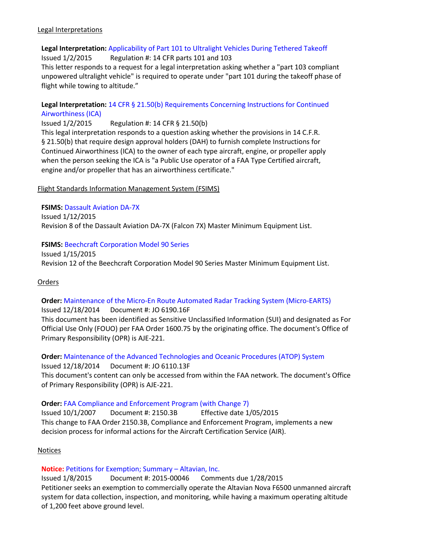#### Legal Interpretations

# **Legal Interpretation:** [Applicability of Part 101 to Ultralight Vehicles During Tethered Takeoff](http://www.faa.gov/about/office_org/headquarters_offices/agc/pol_adjudication/agc200/interpretations/data/interps/2015/Palmaz-US%20Hang%20Gliding%20&%20Paragliding%20Assoc%20-%20(2015)%20Legal%20Interpretation.pdf)

Issued 1/2/2015 Regulation #: 14 CFR parts 101 and 103

This letter responds to a request for a legal interpretation asking whether a "part 103 compliant unpowered ultralight vehicle" is required to operate under "part 101 during the takeoff phase of flight while towing to altitude."

## **Legal Interpretation:** [14 CFR § 21.50\(b\) Requirements Concerning Instructions for Continued](http://www.faa.gov/about/office_org/headquarters_offices/agc/pol_adjudication/agc200/interpretations/data/interps/2015/Oakley-Piedmont%20Propulsion%20Systems%20-%20(2015)%20Legal%20Interpretation.pdf) [Airworthiness \(ICA\)](http://www.faa.gov/about/office_org/headquarters_offices/agc/pol_adjudication/agc200/interpretations/data/interps/2015/Oakley-Piedmont%20Propulsion%20Systems%20-%20(2015)%20Legal%20Interpretation.pdf)

Issued 1/2/2015 Regulation #: 14 CFR § 21.50(b)

This legal interpretation responds to a question asking whether the provisions in 14 C.F.R. § 21.50(b) that require design approval holders (DAH) to furnish complete Instructions for Continued Airworthiness (ICA) to the owner of each type aircraft, engine, or propeller apply when the person seeking the ICA is "a Public Use operator of a FAA Type Certified aircraft, engine and/or propeller that has an airworthiness certificate."

### Flight Standards Information Management System (FSIMS)

# **FSIMS:** [Dassault Aviation DA-7X](http://fsims.faa.gov/PICDetail.aspx?docId=M%20DA-7X%20R8)

Issued 1/12/2015 Revision 8 of the Dassault Aviation DA-7X (Falcon 7X) Master Minimum Equipment List.

# **FSIMS:** [Beechcraft Corporation Model 90 Series](http://fsims.faa.gov/PICDetail.aspx?docId=M%20BE-65-90%20R12)

Issued 1/15/2015 Revision 12 of the Beechcraft Corporation Model 90 Series Master Minimum Equipment List.

# Orders

# **Order:** [Maintenance of the Micro-En Route Automated Radar Tracking System \(Micro-EARTS\)](http://www.faa.gov/regulations_policies/orders_notices/index.cfm/go/document.information/documentID/1026606)

Issued 12/18/2014 Document #: JO 6190.16F This document has been identified as Sensitive Unclassified Information (SUI) and designated as For Official Use Only (FOUO) per FAA Order 1600.75 by the originating office. The document's Office of Primary Responsibility (OPR) is AJE-221.

**Order:** [Maintenance of the Advanced Technologies and Oceanic Procedures \(ATOP\) System](http://www.faa.gov/regulations_policies/orders_notices/index.cfm/go/document.information/documentID/1026590) Issued 12/18/2014 Document #: JO 6110.13F This document's content can only be accessed from within the FAA network. The document's Office of Primary Responsibility (OPR) is AJE-221.

#### **Order:** [FAA Compliance and Enforcement Program \(with Change 7\)](http://www.faa.gov/regulations_policies/orders_notices/index.cfm/go/document.information/documentID/17213)

Issued 10/1/2007 Document #: 2150.3B Effective date 1/05/2015 This change to FAA Order 2150.3B, Compliance and Enforcement Program, implements a new decision process for informal actions for the Aircraft Certification Service (AIR).

#### Notices

# **Notice:** [Petitions for Exemption; Summary](https://www.federalregister.gov/articles/2015/01/08/2015-00046/petition-for-exemption-summary-of-petition-received-altavian-inc) – Altavian, Inc.

Issued 1/8/2015 Document #: 2015-00046 Comments due 1/28/2015 Petitioner seeks an exemption to commercially operate the Altavian Nova F6500 unmanned aircraft system for data collection, inspection, and monitoring, while having a maximum operating altitude of 1,200 feet above ground level.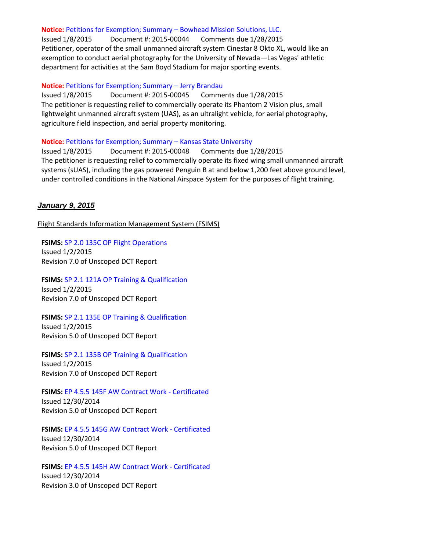#### **Notice:** [Petitions for Exemption; Summary](https://www.federalregister.gov/articles/2015/01/08/2015-00044/petition-for-exemption-summary-of-petition-received-bowhead-mission-solutions-llc) – Bowhead Mission Solutions, LLC.

Issued 1/8/2015 Document #: 2015-00044 Comments due 1/28/2015 Petitioner, operator of the small unmanned aircraft system Cinestar 8 Okto XL, would like an exemption to conduct aerial photography for the University of Nevada—Las Vegas' athletic department for activities at the Sam Boyd Stadium for major sporting events.

#### **Notice:** [Petitions for Exemption; Summary](https://www.federalregister.gov/articles/2015/01/08/2015-00045/petition-for-exemption-summary-of-petition-received-brandau-jerry) – Jerry Brandau

Issued 1/8/2015 Document #: 2015-00045 Comments due 1/28/2015 The petitioner is requesting relief to commercially operate its Phantom 2 Vision plus, small lightweight unmanned aircraft system (UAS), as an ultralight vehicle, for aerial photography, agriculture field inspection, and aerial property monitoring.

#### **Notice:** [Petitions for Exemption; Summary](https://www.federalregister.gov/articles/2015/01/08/2015-00048/petition-for-exemption-summary-of-petition-received-kansas-state-university) – Kansas State University

Issued 1/8/2015 Document #: 2015-00048 Comments due 1/28/2015 The petitioner is requesting relief to commercially operate its fixed wing small unmanned aircraft systems (sUAS), including the gas powered Penguin B at and below 1,200 feet above ground level, under controlled conditions in the National Airspace System for the purposes of flight training.

#### *January 9, 2015*

Flight Standards Information Management System (FSIMS)

**FSIMS:** SP [2.0 135C OP Flight Operations](http://fsims.faa.gov/PICDetail.aspx?docId=SP%202.0%20135C%20OP%207.0) Issued 1/2/2015 Revision 7.0 of Unscoped DCT Report

**FSIMS:** [SP 2.1 121A OP Training & Qualification](http://fsims.faa.gov/PICDetail.aspx?docId=SP%202.1%20121A%20OP%207.0) Issued 1/2/2015 Revision 7.0 of Unscoped DCT Report

**FSIMS:** [SP 2.1 135E OP Training & Qualification](http://fsims.faa.gov/PICDetail.aspx?docId=SP%202.1%20135E%20OP%205.0) Issued 1/2/2015 Revision 5.0 of Unscoped DCT Report

**FSIMS:** [SP 2.1 135B OP Training & Qualification](http://fsims.faa.gov/PICDetail.aspx?docId=SP%202.1%20135B%20OP%207.0) Issued 1/2/2015 Revision 7.0 of Unscoped DCT Report

**FSIMS:** [EP 4.5.5 145F AW Contract Work -](http://fsims.faa.gov/PICDetail.aspx?docId=EP%204.5.5%20145F%20AW%205.0) Certificated Issued 12/30/2014 Revision 5.0 of Unscoped DCT Report

**FSIMS:** [EP 4.5.5 145G AW Contract Work -](http://fsims.faa.gov/PICDetail.aspx?docId=EP%204.5.5%20145G%20AW%205.0) Certificated

Issued 12/30/2014 Revision 5.0 of Unscoped DCT Report

**FSIMS:** [EP 4.5.5 145H AW Contract Work -](http://fsims.faa.gov/PICDetail.aspx?docId=EP%204.5.5%20145H%20AW%203.0) Certificated Issued 12/30/2014 Revision 3.0 of Unscoped DCT Report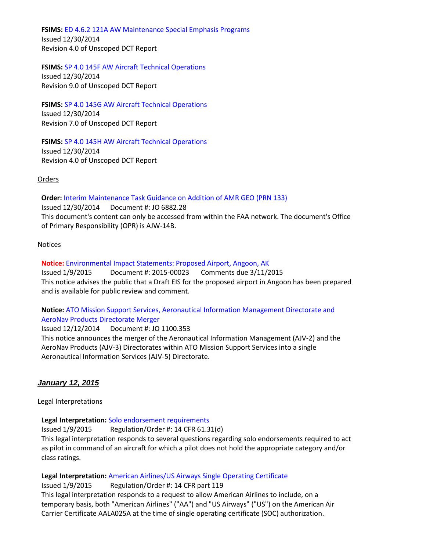**FSIMS:** [ED 4.6.2 121A AW Maintenance Special Emphasis Programs](http://fsims.faa.gov/PICDetail.aspx?docId=ED%204.6.2%20121A%20AW%204.0)

Issued 12/30/2014 Revision 4.0 of Unscoped DCT Report

**FSIMS:** [SP 4.0 145F AW Aircraft Technical Operations](http://fsims.faa.gov/PICDetail.aspx?docId=SP%204.0%20145F%20AW%209.0)

Issued 12/30/2014 Revision 9.0 of Unscoped DCT Report

**FSIMS:** [SP 4.0 145G AW Aircraft Technical Operations](http://fsims.faa.gov/PICDetail.aspx?docId=SP%204.0%20145G%20AW%207.0) Issued 12/30/2014 Revision 7.0 of Unscoped DCT Report

**FSIMS:** [SP 4.0 145H AW Aircraft Technical Operations](http://fsims.faa.gov/PICDetail.aspx?docId=SP%204.0%20145H%20AW%204.0)

Issued 12/30/2014 Revision 4.0 of Unscoped DCT Report

Orders

**Order:** [Interim Maintenance Task Guidance on Addition of AMR GEO \(PRN 133\)](http://www.faa.gov/regulations_policies/orders_notices/index.cfm/go/document.information/documentID/1026546) Issued 12/30/2014 Document #: JO 6882.28 This document's content can only be accessed from within the FAA network. The document's Office of Primary Responsibility (OPR) is AJW-14B.

# Notices

**Notice:** [Environmental Impact Statements: Proposed Airport, Angoon, AK](https://www.federalregister.gov/articles/2015/01/09/2015-00023/notice-of-availability-for-draft-environmental-impact-statement-draft-eis-draft-section-4f)

Issued 1/9/2015 Document #: 2015-00023 Comments due 3/11/2015 This notice advises the public that a Draft EIS for the proposed airport in Angoon has been prepared and is available for public review and comment.

# **Notice:** [ATO Mission Support Services, Aeronautical Information Management Directorate and](http://www.faa.gov/regulations_policies/orders_notices/index.cfm/go/document.information/documentID/1026306)  [AeroNav Products Directorate Merger](http://www.faa.gov/regulations_policies/orders_notices/index.cfm/go/document.information/documentID/1026306)

Issued 12/12/2014 Document #: JO 1100.353 This notice announces the merger of the Aeronautical Information Management (AJV-2) and the AeroNav Products (AJV-3) Directorates within ATO Mission Support Services into a single Aeronautical Information Services (AJV-5) Directorate.

# *January 12, 2015*

Legal Interpretations

**Legal Interpretation:** [Solo endorsement requirements](http://www.faa.gov/about/office_org/headquarters_offices/agc/pol_adjudication/agc200/interpretations/data/interps/2015/Beard%20-%20(2015)%20Legal%20Interpretation.pdf)

Issued 1/9/2015 Regulation/Order #: 14 CFR 61.31(d) This legal interpretation responds to several questions regarding solo endorsements required to act as pilot in command of an aircraft for which a pilot does not hold the appropriate category and/or class ratings.

**Legal Interpretation:** [American Airlines/US Airways Single Operating Certificate](http://www.faa.gov/about/office_org/headquarters_offices/agc/pol_adjudication/agc200/interpretations/data/interps/2015/Heil-American%20Airlines%20-%20(2015)%20Legal%20Interpretation.pdf)

Issued 1/9/2015 Regulation/Order #: 14 CFR part 119 This legal interpretation responds to a request to allow American Airlines to include, on a temporary basis, both "American Airlines" ("AA") and "US Airways" ("US") on the American Air Carrier Certificate AALA025A at the time of single operating certificate (SOC) authorization.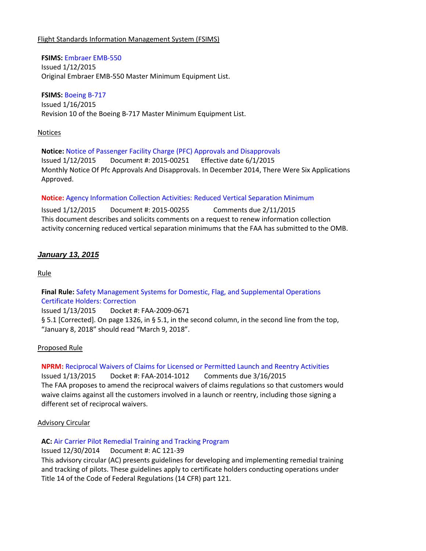### Flight Standards Information Management System (FSIMS)

#### **FSIMS:** [Embraer EMB-550](http://fsims.faa.gov/PICDetail.aspx?docId=FSB%20EMB-550)

Issued 1/12/2015 Original Embraer EMB-550 Master Minimum Equipment List.

### **FSIMS:** [Boeing B-717](http://fsims.faa.gov/PICDetail.aspx?docId=M%20B-717%20R10)

Issued 1/16/2015 Revision 10 of the Boeing B-717 Master Minimum Equipment List.

#### Notices

**Notice:** [Notice of Passenger Facility Charge \(PFC\) Approvals and Disapprovals](https://www.federalregister.gov/articles/2015/01/12/2015-00251/notice-of-passenger-facility-charge-pfc-approvals-and-disapprovals) Issued 1/12/2015 Document #: 2015-00251 Effective date 6/1/2015 Monthly Notice Of Pfc Approvals And Disapprovals. In December 2014, There Were Six Applications Approved.

### **Notice:** [Agency Information Collection Activities: Reduced Vertical Separation Minimum](https://www.federalregister.gov/articles/2015/01/12/2015-00255/agency-information-collection-activities-requests-for-comments-clearance-of-renewed-approval-of)

Issued 1/12/2015 Document #: 2015-00255 Comments due 2/11/2015 This document describes and solicits comments on a request to renew information collection activity concerning reduced vertical separation minimums that the FAA has submitted to the OMB.

# *January 13, 2015*

Rule

# **Final Rule:** [Safety Management Systems for Domestic, Flag, and Supplemental Operations](https://www.federalregister.gov/articles/2015/01/13/C1-2015-00143/safety-management-systems-for-domestic-flag-and-supplemental-operations-certificate-holders)  [Certificate Holders: Correction](https://www.federalregister.gov/articles/2015/01/13/C1-2015-00143/safety-management-systems-for-domestic-flag-and-supplemental-operations-certificate-holders)

Issued 1/13/2015 Docket #: FAA-2009-0671 § 5.1 [Corrected]. On page 1326, in § 5.1, in the second column, in the second line from the top, "January 8, 2018" should read "March 9, 2018".

# Proposed Rule

# **NPRM:** [Reciprocal Waivers of Claims for Licensed or Permitted Launch and Reentry Activities](https://www.federalregister.gov/articles/2015/01/13/2015-00252/reciprocal-waivers-of-claims-for-licensed-or-permitted-launch-and-reentry-activities)

Issued 1/13/2015 Docket #: FAA-2014-1012 Comments due 3/16/2015 The FAA proposes to amend the reciprocal waivers of claims regulations so that customers would waive claims against all the customers involved in a launch or reentry, including those signing a different set of reciprocal waivers.

#### Advisory Circular

#### **AC:** [Air Carrier Pilot Remedial Training and Tracking Program](http://www.faa.gov/regulations_policies/advisory_circulars/index.cfm/go/document.information/documentID/1026589)

# Issued 12/30/2014 Document #: AC 121-39

This advisory circular (AC) presents guidelines for developing and implementing remedial training and tracking of pilots. These guidelines apply to certificate holders conducting operations under Title 14 of the Code of Federal Regulations (14 CFR) part 121.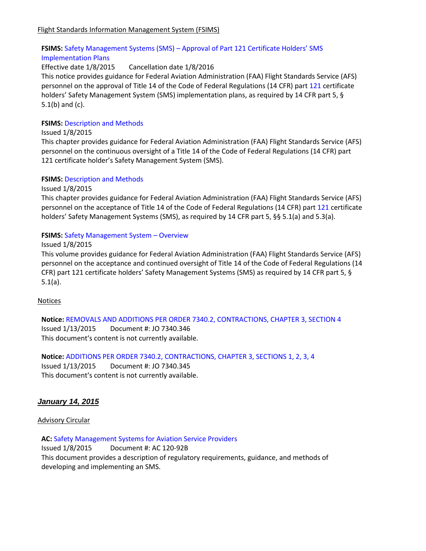# **FSIMS:** Safety Management Systems (SMS) – [Approval of Part 121 Certificate Holders' SMS](http://fsims.faa.gov/PICDetail.aspx?docId=N%208900.281)  [Implementation Plans](http://fsims.faa.gov/PICDetail.aspx?docId=N%208900.281)

### Effective date 1/8/2015 Cancellation date 1/8/2016

This notice provides guidance for Federal Aviation Administration (FAA) Flight Standards Service (AFS) personnel on the approval of Title 14 of the Code of Federal Regulations (14 CFR) part [121](javascript:openPage() certificate holders' Safety Management System (SMS) implementation plans, as required by 14 CFR part 5, § 5.1(b) and (c).

### **FSIMS: [Description and Methods](http://fsims.faa.gov/PICDetail.aspx?docId=8900.1,Vol.17,Ch3,Sec1)**

#### Issued 1/8/2015

This chapter provides guidance for Federal Aviation Administration (FAA) Flight Standards Service (AFS) personnel on the continuous oversight of a Title 14 of the Code of Federal Regulations (14 CFR) part 121 certificate holder's Safety Management System (SMS).

#### **FSIMS: [Description and Methods](http://fsims.faa.gov/PICDetail.aspx?docId=8900.1,Vol.17,Ch2,Sec1)**

#### Issued 1/8/2015

This chapter provides guidance for Federal Aviation Administration (FAA) Flight Standards Service (AFS) personnel on the acceptance of Title 14 of the Code of Federal Regulations (14 CFR) part [121](javascript:openPage() certificate holders' Safety Management Systems (SMS), as required by 14 CFR part 5, §§ 5.1(a) and 5.3(a).

### **FSIMS:** [Safety Management System](http://fsims.faa.gov/PICDetail.aspx?docId=8900.1,Vol.17,Ch1,Sec1) – Overview

#### Issued 1/8/2015

This volume provides guidance for Federal Aviation Administration (FAA) Flight Standards Service (AFS) personnel on the acceptance and continued oversight of Title 14 of the Code of Federal Regulations (14 CFR) part 121 certificate holders' Safety Management Systems (SMS) as required by 14 CFR part 5, § 5.1(a).

#### **Notices**

**Notice:** [REMOVALS AND ADDITIONS PER ORDER 7340.2, CONTRACTIONS, CHAPTER 3, SECTION 4](http://www.faa.gov/regulations_policies/orders_notices/index.cfm/go/document.information/documentID/1026667) Issued 1/13/2015 Document #: JO 7340.346 This document's content is not currently available.

**Notice:** [ADDITIONS PER ORDER 7340.2, CONTRACTIONS, CHAPTER 3, SECTIONS 1, 2, 3, 4](http://www.faa.gov/regulations_policies/orders_notices/index.cfm/go/document.information/documentID/1026666) Issued 1/13/2015 Document #: JO 7340.345

This document's content is not currently available.

# *January 14, 2015*

#### Advisory Circular

**AC:** [Safety Management Systems for Aviation Service Providers](http://www.faa.gov/regulations_policies/advisory_circulars/index.cfm/go/document.information/documentID/1026670)

Issued 1/8/2015 Document #: AC 120-92B This document provides a description of regulatory requirements, guidance, and methods of developing and implementing an SMS.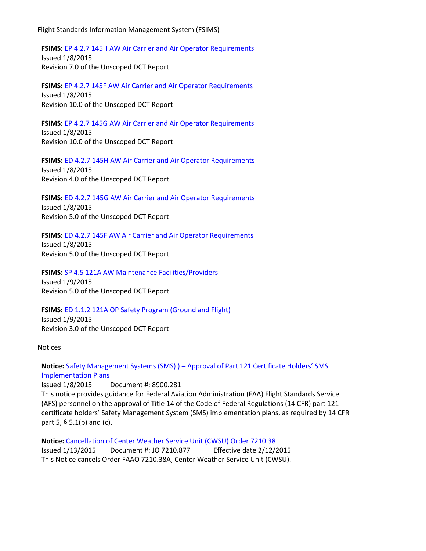#### Flight Standards Information Management System (FSIMS)

**FSIMS:** [EP 4.2.7 145H AW Air Carrier and Air Operator Requirements](http://fsims.faa.gov/PICDetail.aspx?docId=EP%204.2.7%20145H%20AW%207.0) Issued 1/8/2015 Revision 7.0 of the Unscoped DCT Report

**FSIMS:** [EP 4.2.7 145F AW Air Carrier and Air Operator Requirements](http://fsims.faa.gov/PICDetail.aspx?docId=EP%204.2.7%20145F%20AW%2010.0) Issued 1/8/2015 Revision 10.0 of the Unscoped DCT Report

**FSIMS:** [EP 4.2.7 145G AW Air Carrier and Air Operator Requirements](http://fsims.faa.gov/PICDetail.aspx?docId=EP%204.2.7%20145G%20AW%2010.0) Issued 1/8/2015 Revision 10.0 of the Unscoped DCT Report

**FSIMS:** [ED 4.2.7 145H AW Air Carrier and Air Operator Requirements](http://fsims.faa.gov/PICDetail.aspx?docId=ED%204.2.7%20145H%20AW%204.0-) Issued 1/8/2015 Revision 4.0 of the Unscoped DCT Report

**FSIMS:** [ED 4.2.7 145G AW Air Carrier and Air Operator Requirements](http://fsims.faa.gov/PICDetail.aspx?docId=ED%204.2.7%20145G%20AW%205.0) Issued 1/8/2015 Revision 5.0 of the Unscoped DCT Report

**FSIMS:** [ED 4.2.7 145F AW Air Carrier and Air Operator Requirements](http://fsims.faa.gov/PICDetail.aspx?docId=ED%204.2.7%20145F%20AW%205.0) Issued 1/8/2015 Revision 5.0 of the Unscoped DCT Report

**FSIMS:** [SP 4.5 121A AW Maintenance Facilities/Providers](http://fsims.faa.gov/PICDetail.aspx?docId=SP%204.5%20121A%20AW%205.0) Issued 1/9/2015 Revision 5.0 of the Unscoped DCT Report

FSIMS: [ED 1.1.2 121A OP Safety Program \(Ground and Flight\)](http://fsims.faa.gov/PICDetail.aspx?docId=ED%201.1.2%20121A%20OP%203.0) Issued 1/9/2015 Revision 3.0 of the Unscoped DCT Report

#### **Notices**

**Notice:** Safety Management Systems (SMS) ) – [Approval of Part 121 Certificate Holders' SMS](http://www.faa.gov/regulations_policies/orders_notices/index.cfm/go/document.information/documentID/1026568)  [Implementation Plans](http://www.faa.gov/regulations_policies/orders_notices/index.cfm/go/document.information/documentID/1026568)

Issued 1/8/2015 Document #: 8900.281 This notice provides guidance for Federal Aviation Administration (FAA) Flight Standards Service (AFS) personnel on the approval of Title 14 of the Code of Federal Regulations (14 CFR) part 121 certificate holders' Safety Management System (SMS) implementation plans, as required by 14 CFR part 5, § 5.1(b) and (c).

**Notice:** [Cancellation of Center Weather Service Unit \(CWSU\) Order 7210.38](http://www.faa.gov/regulations_policies/orders_notices/index.cfm/go/document.information/documentID/1025946) Issued 1/13/2015 Document #: JO 7210.877 Effective date 2/12/2015 This Notice cancels Order FAAO 7210.38A, Center Weather Service Unit (CWSU).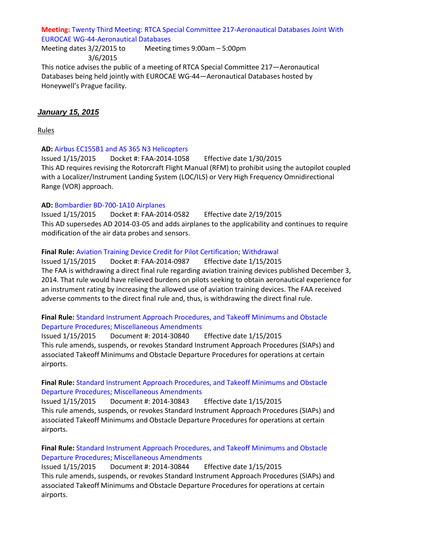### **Meeting:** [Twenty Third Meeting: RTCA Special Committee 217-Aeronautical Databases Joint With](https://www.federalregister.gov/articles/2015/01/14/2015-00469/twenty-third-meeting-rtca-special-committee-217-aeronautical-databases-joint-with-eurocae)  [EUROCAE WG-44-Aeronautical Databases](https://www.federalregister.gov/articles/2015/01/14/2015-00469/twenty-third-meeting-rtca-special-committee-217-aeronautical-databases-joint-with-eurocae)

Meeting dates 3/2/2015 to 3/6/2015 Meeting times 9:00am – 5:00pm

This notice advises the public of a meeting of RTCA Special Committee 217—Aeronautical Databases being held jointly with EUROCAE WG-44—Aeronautical Databases hosted by Honeywell's Prague facility.

# *January 15, 2015*

Rules

### **AD:** [Airbus EC155B1 and AS 365 N3 Helicopters](https://www.federalregister.gov/articles/2015/01/15/2015-00543/airworthiness-directives-airbus-helicopters-previously-eurocopter-france)

Issued 1/15/2015 Docket #: FAA-2014-1058 Effective date 1/30/2015 This AD requires revising the Rotorcraft Flight Manual (RFM) to prohibit using the autopilot coupled with a Localizer/Instrument Landing System (LOC/ILS) or Very High Frequency Omnidirectional Range (VOR) approach.

### **AD:** [Bombardier BD-700-1A10 Airplanes](https://www.federalregister.gov/articles/2015/01/15/2014-30919/airworthiness-directives-bombardier-inc-airplanes)

Issued 1/15/2015 Docket #: FAA-2014-0582 Effective date 2/19/2015 This AD supersedes AD 2014-03-05 and adds airplanes to the applicability and continues to require modification of the air data probes and sensors.

### **Final Rule:** [Aviation Training Device Credit for Pilot Certification; Withdrawal](https://www.federalregister.gov/articles/2015/01/15/2015-00553/aviation-training-device-credit-for-pilot-certification-withdrawal)

Issued 1/15/2015 Docket #: FAA-2014-0987 Effective date 1/15/2015 The FAA is withdrawing a direct final rule regarding aviation training devices published December 3, 2014. That rule would have relieved burdens on pilots seeking to obtain aeronautical experience for an instrument rating by increasing the allowed use of aviation training devices. The FAA received adverse comments to the direct final rule and, thus, is withdrawing the direct final rule.

### **Final Rule:** [Standard Instrument Approach Procedures, and Takeoff Minimums and Obstacle](https://www.federalregister.gov/articles/2015/01/15/2014-30840/standard-instrument-approach-procedures-and-takeoff-minimums-and-obstacle-departure-procedures)  Departure [Procedures; Miscellaneous Amendments](https://www.federalregister.gov/articles/2015/01/15/2014-30840/standard-instrument-approach-procedures-and-takeoff-minimums-and-obstacle-departure-procedures)

Issued 1/15/2015 Document #: 2014-30840 Effective date 1/15/2015 This rule amends, suspends, or revokes Standard Instrument Approach Procedures (SIAPs) and associated Takeoff Minimums and Obstacle Departure Procedures for operations at certain airports.

### **Final Rule:** [Standard Instrument Approach Procedures, and Takeoff Minimums and Obstacle](https://www.federalregister.gov/articles/2015/01/15/2014-30843/standard-instrument-approach-procedures-and-takeoff-minimums-and-obstacle-departure-procedures)  [Departure Procedures; Miscellaneous Amendments](https://www.federalregister.gov/articles/2015/01/15/2014-30843/standard-instrument-approach-procedures-and-takeoff-minimums-and-obstacle-departure-procedures)

Issued 1/15/2015 Document #: 2014-30843 Effective date 1/15/2015 This rule amends, suspends, or revokes Standard Instrument Approach Procedures (SIAPs) and associated Takeoff Minimums and Obstacle Departure Procedures for operations at certain airports.

### **Final Rule:** [Standard Instrument Approach Procedures, and Takeoff Minimums and Obstacle](https://www.federalregister.gov/articles/2015/01/15/2014-30844/standard-instrument-approach-procedures-and-takeoff-minimums-and-obstacle-departure-procedures)  [Departure Procedures; Miscellaneous Amendments](https://www.federalregister.gov/articles/2015/01/15/2014-30844/standard-instrument-approach-procedures-and-takeoff-minimums-and-obstacle-departure-procedures)

Issued 1/15/2015 Document #: 2014-30844 Effective date 1/15/2015 This rule amends, suspends, or revokes Standard Instrument Approach Procedures (SIAPs) and associated Takeoff Minimums and Obstacle Departure Procedures for operations at certain airports.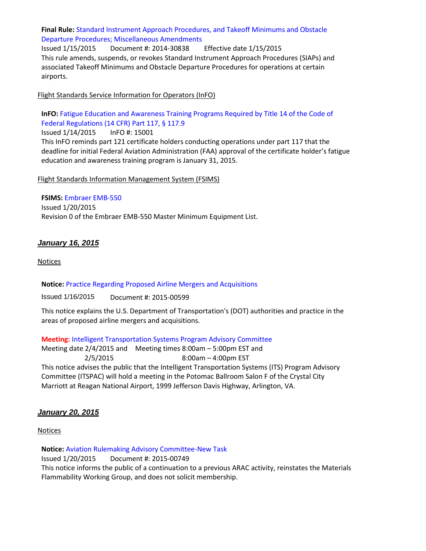# **Final Rule:** [Standard Instrument Approach Procedures, and Takeoff Minimums and Obstacle](https://www.federalregister.gov/articles/2015/01/15/2014-30838/standard-instrument-approach-procedures-and-takeoff-minimums-and-obstacle-departure-procedures)  [Departure Procedures; Miscellaneous Amendments](https://www.federalregister.gov/articles/2015/01/15/2014-30838/standard-instrument-approach-procedures-and-takeoff-minimums-and-obstacle-departure-procedures)

Issued 1/15/2015 Document #: 2014-30838 Effective date 1/15/2015 This rule amends, suspends, or revokes Standard Instrument Approach Procedures (SIAPs) and associated Takeoff Minimums and Obstacle Departure Procedures for operations at certain airports.

### Flight Standards Service Information for Operators (InFO)

**InFO:** [Fatigue Education and Awareness Training Programs Required by Title 14 of the Code of](http://www.faa.gov/other_visit/aviation_industry/airline_operators/airline_safety/info/all_infos/media/2015/InFO15001.pdf)  [Federal Regulations \(14 CFR\) Part 117, § 117.9](http://www.faa.gov/other_visit/aviation_industry/airline_operators/airline_safety/info/all_infos/media/2015/InFO15001.pdf) Issued 1/14/2015 InFO #: 15001 This InFO reminds part 121 certificate holders conducting operations under part 117 that the

deadline for initial Federal Aviation Administration (FAA) approval of the certificate holder's fatigue education and awareness training program is January 31, 2015.

### Flight Standards Information Management System (FSIMS)

#### **FSIMS:** [Embraer EMB-550](http://fsims.faa.gov/PICDetail.aspx?docId=M%20EMB-550%20Rev%200)

Issued 1/20/2015 Revision 0 of the Embraer EMB-550 Master Minimum Equipment List.

# *January 16, 2015*

#### **Notices**

# **Notice:** [Practice Regarding Proposed Airline Mergers and Acquisitions](https://www.federalregister.gov/articles/2015/01/16/2015-00599/us-department-of-transportation-notice-of-practice-regarding-proposed-airline-mergers-and)

Issued 1/16/2015 Document #: 2015-00599

This notice explains the U.S. Department of Transportation's (DOT) authorities and practice in the areas of proposed airline mergers and acquisitions.

#### **Meeting:** [Intelligent Transportation Systems Program Advisory Committee](https://www.federalregister.gov/articles/2015/01/16/2015-00589/intelligent-transportation-systems-program-advisory-committee-notice-of-meeting)

Meeting date 2/4/2015 and Meeting times 8:00am - 5:00pm EST and 2/5/2015 8:00am – 4:00pm EST This notice advises the public that the Intelligent Transportation Systems (ITS) Program Advisory Committee (ITSPAC) will hold a meeting in the Potomac Ballroom Salon F of the Crystal City Marriott at Reagan National Airport, 1999 Jefferson Davis Highway, Arlington, VA.

# *January 20, 2015*

**Notices** 

**Notice:** [Aviation Rulemaking Advisory Committee-New Task](https://www.federalregister.gov/articles/2015/01/20/2015-00749/aviation-rulemaking-advisory-committee-new-task)

Issued 1/20/2015 Document #: 2015-00749

This notice informs the public of a continuation to a previous ARAC activity, reinstates the Materials Flammability Working Group, and does not solicit membership.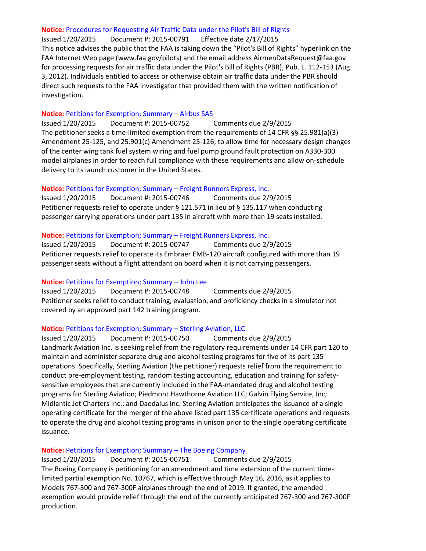#### **Notice:** [Procedures for Requesting Air Traffic Data under the Pilot's Bill of Rights](https://www.federalregister.gov/articles/2015/01/20/2015-00791/procedures-for-requesting-air-traffic-data-under-the-pilots-bill-of-rights)

Issued 1/20/2015 Document #: 2015-00791 Effective date 2/17/2015 This notice advises the public that the FAA is taking down the "Pilot's Bill of Rights" hyperlink on the FAA Internet Web page (www.faa.gov/pilots) and the email address AirmenDataRequest@faa.gov for processing requests for air traffic data under the Pilot's Bill of Rights (PBR), Pub. L. 112-153 (Aug. 3, 2012). Individuals entitled to access or otherwise obtain air traffic data under the PBR should direct such requests to the FAA investigator that provided them with the written notification of investigation.

#### **Notice:** [Petitions for Exemption; Summary](https://www.federalregister.gov/articles/2015/01/20/2015-00752/petition-for-exemption-summary-of-petition-received) – Airbus SAS

Issued 1/20/2015 Document #: 2015-00752 Comments due 2/9/2015 The petitioner seeks a time-limited exemption from the requirements of 14 CFR §§ 25.981(a)(3) Amendment 25-125, and 25.901(c) Amendment 25-126, to allow time for necessary design changes of the center wing tank fuel system wiring and fuel pump ground fault protection on A330-300 model airplanes in order to reach full compliance with these requirements and allow on-schedule delivery to its launch customer in the United States.

#### **Notice:** [Petitions for Exemption; Summary](https://www.federalregister.gov/articles/2015/01/20/2015-00746/petition-for-exemption-summary-of-petition-received-freight-runners-express) – Freight Runners Express, Inc.

Issued 1/20/2015 Document #: 2015-00746 Comments due 2/9/2015 Petitioner requests relief to operate under § 121.571 in lieu of § 135.117 when conducting passenger carrying operations under part 135 in aircraft with more than 19 seats installed.

#### **Notice:** [Petitions for Exemption; Summary](https://www.federalregister.gov/articles/2015/01/20/2015-00747/petition-for-exemption-summary-of-petition-received-freight-runners-express) – Freight Runners Express, Inc.

Issued 1/20/2015 Document #: 2015-00747 Comments due 2/9/2015 Petitioner requests relief to operate its Embraer EMB-120 aircraft configured with more than 19 passenger seats without a flight attendant on board when it is not carrying passengers.

#### **Notice:** [Petitions for Exemption; Summary](https://www.federalregister.gov/articles/2015/01/20/2015-00748/petition-for-exemption-summary-of-petition-received) – John Lee

Issued 1/20/2015 Document #: 2015-00748 Comments due 2/9/2015 Petitioner seeks relief to conduct training, evaluation, and proficiency checks in a simulator not covered by an approved part 142 training program.

#### **Notice:** [Petitions for Exemption; Summary](https://www.federalregister.gov/articles/2015/01/20/2015-00750/petition-for-exemption-summary-of-petition-received-sterling-aviation) – Sterling Aviation, LLC

Issued 1/20/2015 Document #: 2015-00750 Comments due 2/9/2015 Landmark Aviation Inc. is seeking relief from the regulatory requirements under 14 CFR part 120 to maintain and administer separate drug and alcohol testing programs for five of its part 135 operations. Specifically, Sterling Aviation (the petitioner) requests relief from the requirement to conduct pre-employment testing, random testing accounting, education and training for safetysensitive employees that are currently included in the FAA-mandated drug and alcohol testing programs for Sterling Aviation; Piedmont Hawthorne Aviation LLC; Galvin Flying Service, Inc; Midlantic Jet Charters Inc.; and Daedalus Inc. Sterling Aviation anticipates the issuance of a single operating certificate for the merger of the above listed part 135 certificate operations and requests to operate the drug and alcohol testing programs in unison prior to the single operating certificate issuance.

#### **Notice:** [Petitions for Exemption; Summary](https://www.federalregister.gov/articles/2015/01/20/2015-00751/petition-for-exemption-summary-of-petition-received) – The Boeing Company

Issued 1/20/2015 Document #: 2015-00751 Comments due 2/9/2015 The Boeing Company is petitioning for an amendment and time extension of the current timelimited partial exemption No. 10767, which is effective through May 16, 2016, as it applies to Models 767-300 and 767-300F airplanes through the end of 2019. If granted, the amended exemption would provide relief through the end of the currently anticipated 767-300 and 767-300F production.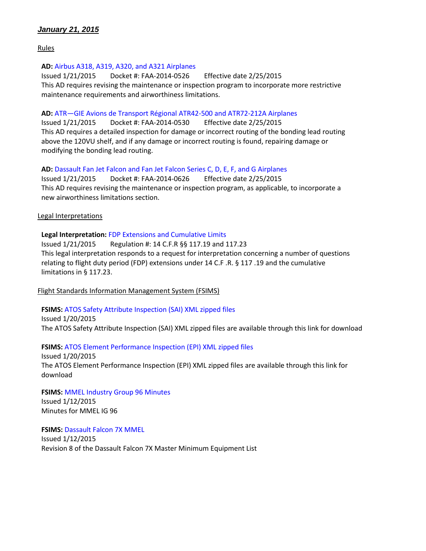# *January 21, 2015*

Rules

#### **AD:** [Airbus A318, A319, A320, and A321 Airplanes](https://www.federalregister.gov/articles/2015/01/21/2014-30916/airworthiness-directives-airbus-airplanes)

Issued 1/21/2015 Docket #: FAA-2014-0526 Effective date 2/25/2015 This AD requires revising the maintenance or inspection program to incorporate more restrictive maintenance requirements and airworthiness limitations.

#### **AD:** ATR—[GIE Avions de Transport Régional ATR42-500 and ATR72-212A Airplanes](https://www.federalregister.gov/articles/2015/01/21/2014-30914/airworthiness-directives-atr-gie-avions-de-transport-rgional-airplanes)

Issued 1/21/2015 Docket #: FAA-2014-0530 Effective date 2/25/2015 This AD requires a detailed inspection for damage or incorrect routing of the bonding lead routing above the 120VU shelf, and if any damage or incorrect routing is found, repairing damage or modifying the bonding lead routing.

#### **AD:** [Dassault Fan Jet Falcon and Fan Jet Falcon Series C, D, E, F, and G Airplanes](https://www.federalregister.gov/articles/2015/01/21/2014-30917/airworthiness-directives-dassault-aviation-airplanes)

Issued 1/21/2015 Docket #: FAA-2014-0626 Effective date 2/25/2015 This AD requires revising the maintenance or inspection program, as applicable, to incorporate a new airworthiness limitations section.

Legal Interpretations

#### **Legal Interpretation:** [FDP Extensions and Cumulative Limits](http://www.faa.gov/about/office_org/headquarters_offices/agc/pol_adjudication/agc200/interpretations/data/interps/2015/Wykoff_ALPAI%20-%20(2015)%20Legal%20Interpretation.pdf)

Issued 1/21/2015 Regulation #: 14 C.F.R §§ 117.19 and 117.23 This legal interpretation responds to a request for interpretation concerning a number of questions relating to flight duty period (FDP) extensions under 14 C.F .R. § 117 .19 and the cumulative limitations in § 117.23.

#### Flight Standards Information Management System (FSIMS)

#### **FSIMS:** [ATOS Safety Attribute Inspection \(SAI\) XML zipped files](http://fsims.faa.gov/PICDetail.aspx?docId=SAI%20XML%20zipped%20files)

Issued 1/20/2015 The ATOS Safety Attribute Inspection (SAI) XML zipped files are available through this link for download

#### **FSIMS:** [ATOS Element Performance Inspection \(EPI\) XML zipped files](file://sbs2011/OFMK/Leg_Reg/LegRegs/ATOS%20Element%20Performance%20Inspection%20(EPI)%20XML%20zipped%20files)

Issued 1/20/2015 The ATOS Element Performance Inspection (EPI) XML zipped files are available through this link for download

#### **FSIMS:** MMEL [Industry Group 96 Minutes](http://fsims.faa.gov/PICDetail.aspx?docId=IG-R96M)

Issued 1/12/2015 Minutes for MMEL IG 96

#### **FSIMS: [Dassault Falcon 7X MMEL](http://fsims.faa.gov/PICDetail.aspx?docId=M%20DA-7X%20R8)**

Issued 1/12/2015 Revision 8 of the Dassault Falcon 7X Master Minimum Equipment List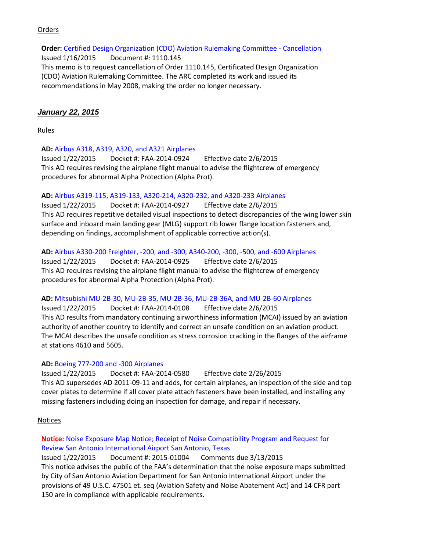### **Orders**

**Order:** [Certified Design Organization \(CDO\) Aviation Rulemaking Committee -](http://www.faa.gov/regulations_policies/orders_notices/index.cfm/go/document.information/documentID/14862) Cancellation Issued 1/16/2015 Document #: 1110.145 This memo is to request cancellation of Order 1110.145, Certificated Design Organization (CDO) Aviation Rulemaking Committee. The ARC completed its work and issued its recommendations in May 2008, making the order no longer necessary.

#### *January 22, 2015*

Rules

#### **AD:** [Airbus A318, A319, A320, and A321 Airplanes](https://www.federalregister.gov/articles/2015/01/22/2015-00714/airworthiness-directives-airbus-airplanes)

Issued 1/22/2015 Docket #: FAA-2014-0924 Effective date 2/6/2015 This AD requires revising the airplane flight manual to advise the flightcrew of emergency procedures for abnormal Alpha Protection (Alpha Prot).

#### **AD:** [Airbus A319-115, A319-133, A320-214, A320-232, and A320-233 Airplanes](https://www.federalregister.gov/articles/2015/01/22/2015-00716/airworthiness-directives-airbus-airplanes)

Issued 1/22/2015 Docket #: FAA-2014-0927 Effective date 2/6/2015 This AD requires repetitive detailed visual inspections to detect discrepancies of the wing lower skin surface and inboard main landing gear (MLG) support rib lower flange location fasteners and, depending on findings, accomplishment of applicable corrective action(s).

#### **AD:** [Airbus A330-200 Freighter, -200, and -300, A340-200, -300, -500, and -600 Airplanes](https://www.federalregister.gov/articles/2015/01/22/2015-00713/airworthiness-directives-airbus-airplanes)

Issued 1/22/2015 Docket #: FAA-2014-0925 Effective date 2/6/2015 This AD requires revising the airplane flight manual to advise the flightcrew of emergency procedures for abnormal Alpha Protection (Alpha Prot).

#### **AD:** [Mitsubishi MU-2B-30, MU-2B-35, MU-2B-36, MU-2B-36A, and MU-2B-60 Airplanes](https://www.federalregister.gov/articles/2015/01/22/2015-00007/airworthiness-directives-mitsubishi-heavy-industries-ltd-airplanes)

Issued 1/22/2015 Docket #: FAA-2014-0108 Effective date 2/6/2015 This AD results from mandatory continuing airworthiness information (MCAI) issued by an aviation authority of another country to identify and correct an unsafe condition on an aviation product. The MCAI describes the unsafe condition as stress corrosion cracking in the flanges of the airframe at stations 4610 and 5605.

#### **AD:** [Boeing 777-200 and -300 Airplanes](https://www.federalregister.gov/articles/2015/01/22/2015-00009/airworthiness-directives-the-boeing-company-airplanes)

Issued 1/22/2015 Docket #: FAA-2014-0580 Effective date 2/26/2015 This AD supersedes AD 2011-09-11 and adds, for certain airplanes, an inspection of the side and top cover plates to determine if all cover plate attach fasteners have been installed, and installing any missing fasteners including doing an inspection for damage, and repair if necessary.

#### Notices

# **Notice:** [Noise Exposure Map Notice; Receipt of Noise Compatibility Program and Request for](https://www.federalregister.gov/articles/2015/01/22/2015-01004/noise-exposure-map-notice-receipt-of-noise-compatibility-program-and-request-for-review-san-antonio)  [Review San Antonio International Airport San Antonio, Texas](https://www.federalregister.gov/articles/2015/01/22/2015-01004/noise-exposure-map-notice-receipt-of-noise-compatibility-program-and-request-for-review-san-antonio)

Issued 1/22/2015 Document #: 2015-01004 Comments due 3/13/2015 This notice advises the public of the FAA's determination that the noise exposure maps submitted by City of San Antonio Aviation Department for San Antonio International Airport under the provisions of 49 U.S.C. 47501 et. seq (Aviation Safety and Noise Abatement Act) and 14 CFR part 150 are in compliance with applicable requirements.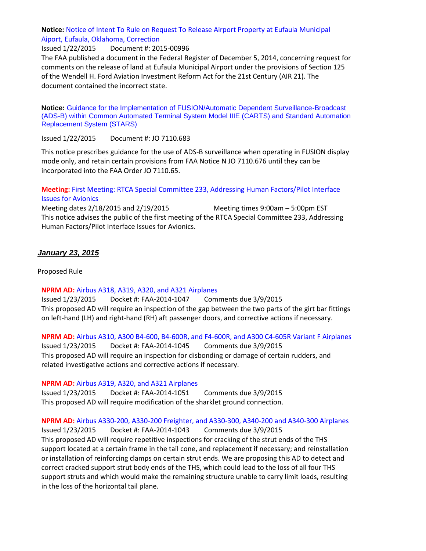### **Notice:** [Notice of Intent To Rule on Request To Release Airport Property at Eufaula Municipal](https://www.federalregister.gov/articles/2015/01/22/2015-00996/notice-of-intent-to-rule-on-request-to-release-airport-property-at-eufaula-municipal-aiport-eufaula)  [Aiport, Eufaula, Oklahoma, Correction](https://www.federalregister.gov/articles/2015/01/22/2015-00996/notice-of-intent-to-rule-on-request-to-release-airport-property-at-eufaula-municipal-aiport-eufaula)

Issued 1/22/2015 Document #: 2015-00996

The FAA published a document in the Federal Register of December 5, 2014, concerning request for comments on the release of land at Eufaula Municipal Airport under the provisions of Section 125 of the Wendell H. Ford Aviation Investment Reform Act for the 21st Century (AIR 21). The document contained the incorrect state.

**Notice:** [Guidance for the Implementation of FUSION/Automatic Dependent Surveillance-Broadcast](http://www.faa.gov/regulations_policies/orders_notices/index.cfm/go/document.information/documentID/1026726)  [\(ADS-B\) within Common Automated Terminal System Model IIIE \(CARTS\) and Standard Automation](http://www.faa.gov/regulations_policies/orders_notices/index.cfm/go/document.information/documentID/1026726)  [Replacement System \(STARS\)](http://www.faa.gov/regulations_policies/orders_notices/index.cfm/go/document.information/documentID/1026726)

Issued 1/22/2015 Document #: JO 7110.683

This notice prescribes guidance for the use of ADS-B surveillance when operating in FUSION display mode only, and retain certain provisions from FAA Notice N JO 7110.676 until they can be incorporated into the FAA Order JO 7110.65.

## **Meeting:** [First Meeting: RTCA Special Committee 233, Addressing Human Factors/Pilot Interface](https://www.federalregister.gov/articles/2015/01/22/2015-01025/first-meeting-rtca-special-committee-233-addressing-human-factorspilot-interface-issues-for-avionics)  [Issues for Avionics](https://www.federalregister.gov/articles/2015/01/22/2015-01025/first-meeting-rtca-special-committee-233-addressing-human-factorspilot-interface-issues-for-avionics)

Meeting dates  $2/18/2015$  and  $2/19/2015$  Meeting times  $9:00$ am  $-5:00$ pm EST This notice advises the public of the first meeting of the RTCA Special Committee 233, Addressing Human Factors/Pilot Interface Issues for Avionics.

### *January 23, 2015*

### Proposed Rule

#### **NPRM AD:** [Airbus A318, A319, A320, and A321 Airplanes](https://www.federalregister.gov/articles/2015/01/23/2015-00943/airworthiness-directives-airbus-airplanes)

Issued 1/23/2015 Docket #: FAA-2014-1047 Comments due 3/9/2015 This proposed AD will require an inspection of the gap between the two parts of the girt bar fittings on left-hand (LH) and right-hand (RH) aft passenger doors, and corrective actions if necessary.

**NPRM AD:** [Airbus A310, A300 B4-600, B4-600R, and F4-600R, and A300 C4-605R Variant F Airplanes](https://www.federalregister.gov/articles/2015/01/23/2015-00946/airworthiness-directives-airbus-airplanes) Issued 1/23/2015 Docket #: FAA-2014-1045 Comments due 3/9/2015 This proposed AD will require an inspection for disbonding or damage of certain rudders, and related investigative actions and corrective actions if necessary.

#### **NPRM AD:** [Airbus A319, A320, and A321 Airplanes](https://www.federalregister.gov/articles/2015/01/23/2015-00945/airworthiness-directives-airbus-airplanes)

Issued 1/23/2015 Docket #: FAA-2014-1051 Comments due 3/9/2015 This proposed AD will require modification of the sharklet ground connection.

**NPRM AD:** [Airbus A330-200, A330-200 Freighter, and A330-300, A340-200 and A340-300 Airplanes](https://www.federalregister.gov/articles/2015/01/23/2015-00993/airworthiness-directives-airbus-airplanes)

Issued 1/23/2015 Docket #: FAA-2014-1043 Comments due 3/9/2015 This proposed AD will require repetitive inspections for cracking of the strut ends of the THS support located at a certain frame in the tail cone, and replacement if necessary; and reinstallation or installation of reinforcing clamps on certain strut ends. We are proposing this AD to detect and correct cracked support strut body ends of the THS, which could lead to the loss of all four THS support struts and which would make the remaining structure unable to carry limit loads, resulting in the loss of the horizontal tail plane.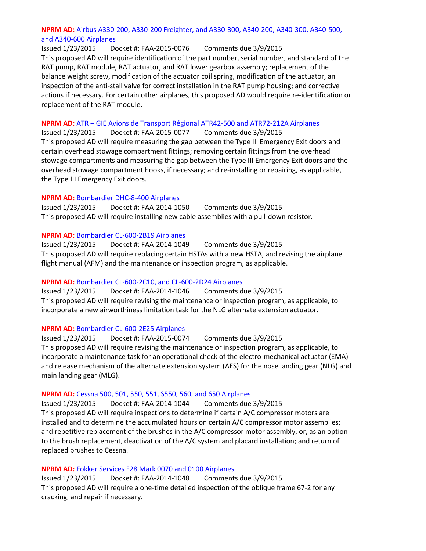### **NPRM AD:** [Airbus A330-200, A330-200 Freighter, and A330-300, A340-200, A340-300, A340-500,](https://www.federalregister.gov/articles/2015/01/23/2015-00961/airworthiness-directives-airbus-airplanes)  [and A340-600 Airplanes](https://www.federalregister.gov/articles/2015/01/23/2015-00961/airworthiness-directives-airbus-airplanes)

Issued 1/23/2015 Docket #: FAA-2015-0076 Comments due 3/9/2015 This proposed AD will require identification of the part number, serial number, and standard of the RAT pump, RAT module, RAT actuator, and RAT lower gearbox assembly; replacement of the balance weight screw, modification of the actuator coil spring, modification of the actuator, an inspection of the anti-stall valve for correct installation in the RAT pump housing; and corrective actions if necessary. For certain other airplanes, this proposed AD would require re-identification or replacement of the RAT module.

#### **NPRM AD:** ATR – [GIE Avions de Transport Régional ATR42-500 and ATR72-212A Airplanes](https://www.federalregister.gov/articles/2015/01/23/2015-00956/airworthiness-directives-atr-gie-avions-de-transport-rgional-airplanes)

Issued 1/23/2015 Docket #: FAA-2015-0077 Comments due 3/9/2015 This proposed AD will require measuring the gap between the Type III Emergency Exit doors and certain overhead stowage compartment fittings; removing certain fittings from the overhead stowage compartments and measuring the gap between the Type III Emergency Exit doors and the overhead stowage compartment hooks, if necessary; and re-installing or repairing, as applicable, the Type III Emergency Exit doors.

#### **NPRM AD:** [Bombardier DHC-8-400 Airplanes](https://www.federalregister.gov/articles/2015/01/23/2015-00957/airworthiness-directives-bombardier-inc-airplanes)

Issued 1/23/2015 Docket #: FAA-2014-1050 Comments due 3/9/2015 This proposed AD will require installing new cable assemblies with a pull-down resistor.

#### **NPRM AD:** [Bombardier CL-600-2B19 Airplanes](https://www.federalregister.gov/articles/2015/01/23/2015-00958/airworthiness-directives-bombardier-inc-airplanes)

Issued 1/23/2015 Docket #: FAA-2014-1049 Comments due 3/9/2015 This proposed AD will require replacing certain HSTAs with a new HSTA, and revising the airplane flight manual (AFM) and the maintenance or inspection program, as applicable.

#### **NPRM AD:** [Bombardier CL-600-2C10, and CL-600-2D24 Airplanes](https://www.federalregister.gov/articles/2015/01/23/2015-00944/airworthiness-directives-bombardier-inc-airplanes)

Issued 1/23/2015 Docket #: FAA-2014-1046 Comments due 3/9/2015 This proposed AD will require revising the maintenance or inspection program, as applicable, to incorporate a new airworthiness limitation task for the NLG alternate extension actuator.

# **NPRM AD:** [Bombardier CL-600-2E25 Airplanes](https://www.federalregister.gov/articles/2015/01/23/2015-00960/airworthiness-directives-bombardier-inc-airplanes)

Issued 1/23/2015 Docket #: FAA-2015-0074 Comments due 3/9/2015 This proposed AD will require revising the maintenance or inspection program, as applicable, to incorporate a maintenance task for an operational check of the electro-mechanical actuator (EMA) and release mechanism of the alternate extension system (AES) for the nose landing gear (NLG) and main landing gear (MLG).

#### **NPRM AD:** [Cessna 500, 501, 550, 551, S550, 560, and 650 Airplanes](https://www.federalregister.gov/articles/2015/01/23/2015-00994/airworthiness-directives-cessna-aircraft-company-airplanes)

Issued 1/23/2015 Docket #: FAA-2014-1044 Comments due 3/9/2015 This proposed AD will require inspections to determine if certain A/C compressor motors are installed and to determine the accumulated hours on certain A/C compressor motor assemblies; and repetitive replacement of the brushes in the A/C compressor motor assembly, or, as an option to the brush replacement, deactivation of the A/C system and placard installation; and return of replaced brushes to Cessna.

# **NPRM AD:** [Fokker Services F28 Mark 0070 and 0100 Airplanes](https://www.federalregister.gov/articles/2015/01/23/2015-00959/airworthiness-directives-fokker-services-bv-airplanes)

Issued 1/23/2015 Docket #: FAA-2014-1048 Comments due 3/9/2015 This proposed AD will require a one-time detailed inspection of the oblique frame 67-2 for any cracking, and repair if necessary.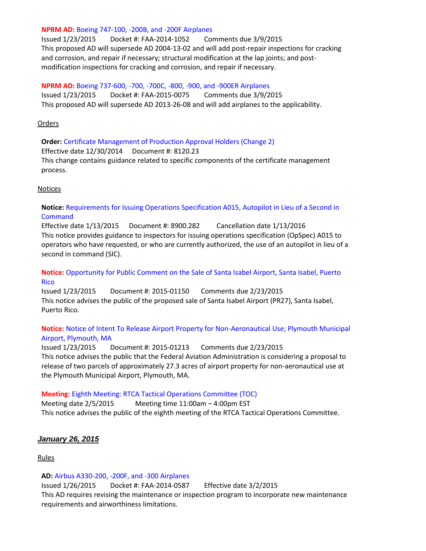#### **NPRM AD:** [Boeing 747-100, -200B, and -200F Airplanes](https://www.federalregister.gov/articles/2015/01/23/2015-00955/airworthiness-directives-the-boeing-company-airplanes)

Issued 1/23/2015 Docket #: FAA-2014-1052 Comments due 3/9/2015 This proposed AD will supersede AD 2004-13-02 and will add post-repair inspections for cracking and corrosion, and repair if necessary; structural modification at the lap joints; and postmodification inspections for cracking and corrosion, and repair if necessary.

**NPRM AD:** [Boeing 737-600, -700, -700C, -800, -900, and -900ER Airplanes](https://www.federalregister.gov/articles/2015/01/23/2015-00962/airworthiness-directives-the-boeing-company-airplanes) Issued 1/23/2015 Docket #: FAA-2015-0075 Comments due 3/9/2015 This proposed AD will supersede AD 2013-26-08 and will add airplanes to the applicability.

#### Orders

**Order:** [Certificate Management of Production Approval Holders \(Change 2\)](http://www.faa.gov/regulations_policies/orders_notices/index.cfm/go/document.information/documentID/1020770) Effective date 12/30/2014 Document #: 8120.23 This change contains guidance related to specific components of the certificate management process.

#### **Notices**

## **Notice:** [Requirements for Issuing Operations Specification A015, Autopilot in Lieu of a Second in](http://www.faa.gov/regulations_policies/orders_notices/index.cfm/go/document.information/documentID/1026668)  [Command](http://www.faa.gov/regulations_policies/orders_notices/index.cfm/go/document.information/documentID/1026668)

Effective date 1/13/2015 Document #: 8900.282 Cancellation date 1/13/2016 This notice provides guidance to inspectors for issuing operations specification (OpSpec) A015 to operators who have requested, or who are currently authorized, the use of an autopilot in lieu of a second in command (SIC).

# **Notice:** [Opportunity for Public Comment on the Sale of Santa Isabel Airport, Santa Isabel, Puerto](https://www.federalregister.gov/articles/2015/01/23/2015-01150/notice-of-opportunity-for-public-comment-on-the-sale-of-santa-isabel-airport-santa-isabel-puerto)  [Rico](https://www.federalregister.gov/articles/2015/01/23/2015-01150/notice-of-opportunity-for-public-comment-on-the-sale-of-santa-isabel-airport-santa-isabel-puerto)

Issued 1/23/2015 Document #: 2015-01150 Comments due 2/23/2015 This notice advises the public of the proposed sale of Santa Isabel Airport (PR27), Santa Isabel, Puerto Rico.

### **Notice:** [Notice of Intent To Release Airport Property for Non-Aeronautical Use; Plymouth Municipal](https://www.federalregister.gov/articles/2015/01/23/2015-01213/notice-of-intent-to-release-airport-property-for-non-aeronautical-use-plymouth-municipal-airport)  [Airport, Plymouth, MA](https://www.federalregister.gov/articles/2015/01/23/2015-01213/notice-of-intent-to-release-airport-property-for-non-aeronautical-use-plymouth-municipal-airport)

Issued 1/23/2015 Document #: 2015-01213 Comments due 2/23/2015 This notice advises the public that the Federal Aviation Administration is considering a proposal to release of two parcels of approximately 27.3 acres of airport property for non-aeronautical use at the Plymouth Municipal Airport, Plymouth, MA.

# **Meeting:** Eighth Meeting: RTCA [Tactical Operations Committee \(TOC\)](https://www.federalregister.gov/articles/2015/01/23/2015-01143/eighth-meeting-rtca-tactical-operations-committee-toc)

Meeting date 2/5/2015 Meeting time 11:00am – 4:00pm EST This notice advises the public of the eighth meeting of the RTCA Tactical Operations Committee.

# *January 26, 2015*

Rules

#### **AD:** [Airbus A330-200, -200F, and -300 Airplanes](https://www.federalregister.gov/articles/2015/01/26/2014-30918/airworthiness-directives-airbus-airplanes)

Issued 1/26/2015 Docket #: FAA-2014-0587 Effective date 3/2/2015 This AD requires revising the maintenance or inspection program to incorporate new maintenance requirements and airworthiness limitations.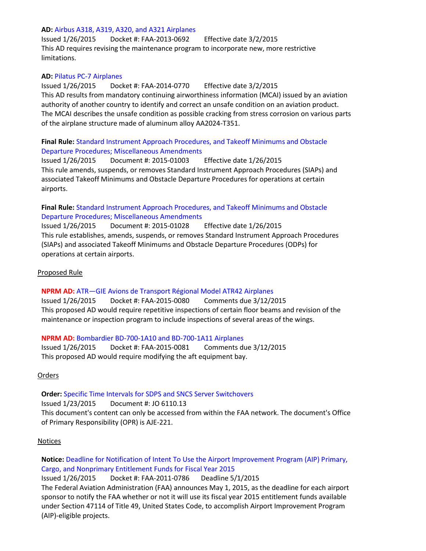#### **AD:** [Airbus A318, A319, A320, and A321 Airplanes](https://www.federalregister.gov/articles/2015/01/26/2015-01257/airworthiness-directives-airbus-airplanes)

Issued 1/26/2015 Docket #: FAA-2013-0692 Effective date 3/2/2015 This AD requires revising the maintenance program to incorporate new, more restrictive limitations.

### **AD:** [Pilatus PC-7 Airplanes](https://www.federalregister.gov/articles/2015/01/26/2015-00010/airworthiness-directives-pilatus-aircraft-ltd-airplanes)

Issued 1/26/2015 Docket #: FAA-2014-0770 Effective date 3/2/2015 This AD results from mandatory continuing airworthiness information (MCAI) issued by an aviation authority of another country to identify and correct an unsafe condition on an aviation product. The MCAI describes the unsafe condition as possible cracking from stress corrosion on various parts of the airplane structure made of aluminum alloy AA2024-T351.

## **Final Rule:** [Standard Instrument Approach Procedures, and Takeoff Minimums and Obstacle](https://www.federalregister.gov/articles/2015/01/26/2015-01003/standard-instrument-approach-procedures-and-takeoff-minimums-and-obstacle-departure-procedures)  [Departure Procedures; Miscellaneous Amendments](https://www.federalregister.gov/articles/2015/01/26/2015-01003/standard-instrument-approach-procedures-and-takeoff-minimums-and-obstacle-departure-procedures)

Issued 1/26/2015 Document #: 2015-01003 Effective date 1/26/2015 This rule amends, suspends, or removes Standard Instrument Approach Procedures (SIAPs) and associated Takeoff Minimums and Obstacle Departure Procedures for operations at certain airports.

## **Final Rule:** [Standard Instrument Approach Procedures, and Takeoff Minimums and Obstacle](https://www.federalregister.gov/articles/2015/01/26/2015-01028/standard-instrument-approach-procedures-and-takeoff-minimums-and-obstacle-departure-procedures)  [Departure Procedures; Miscellaneous Amendments](https://www.federalregister.gov/articles/2015/01/26/2015-01028/standard-instrument-approach-procedures-and-takeoff-minimums-and-obstacle-departure-procedures)

Issued 1/26/2015 Document #: 2015-01028 Effective date 1/26/2015 This rule establishes, amends, suspends, or removes Standard Instrument Approach Procedures (SIAPs) and associated Takeoff Minimums and Obstacle Departure Procedures (ODPs) for operations at certain airports.

### Proposed Rule

#### **NPRM AD:** ATR—[GIE Avions de Transport Régional Model ATR42 Airplanes](https://www.federalregister.gov/articles/2015/01/26/2015-01218/airworthiness-directives-atr-gie-avions-de-transport-rgional-airplanes)

Issued 1/26/2015 Docket #: FAA-2015-0080 Comments due 3/12/2015 This proposed AD would require repetitive inspections of certain floor beams and revision of the maintenance or inspection program to include inspections of several areas of the wings.

#### **NPRM AD:** [Bombardier BD-700-1A10 and BD-700-1A11 Airplanes](https://www.federalregister.gov/articles/2015/01/26/2015-01217/airworthiness-directives-bombardier-inc-airplanes)

Issued 1/26/2015 Docket #: FAA-2015-0081 Comments due 3/12/2015 This proposed AD would require modifying the aft equipment bay.

# Orders

# **Order:** [Specific Time Intervals for SDPS and SNCS Server Switchovers](http://www.faa.gov/regulations_policies/orders_notices/index.cfm/go/document.information/documentID/1026728)

Issued 1/23/2015 Document #: JO 6110.13 This document's content can only be accessed from within the FAA network. The document's Office of Primary Responsibility (OPR) is AJE-221.

#### Notices

**Notice:** [Deadline for Notification of Intent To Use the Airport Improvement Program \(AIP\) Primary,](https://www.federalregister.gov/articles/2015/01/26/2015-01318/deadline-for-notification-of-intent-to-use-the-airport-improvement-program-aip-primary-cargo-and)  [Cargo, and Nonprimary Entitlement Funds for Fiscal Year 2015](https://www.federalregister.gov/articles/2015/01/26/2015-01318/deadline-for-notification-of-intent-to-use-the-airport-improvement-program-aip-primary-cargo-and) Issued 1/26/2015 Docket #: FAA-2011-0786 Deadline 5/1/2015 The Federal Aviation Administration (FAA) announces May 1, 2015, as the deadline for each airport sponsor to notify the FAA whether or not it will use its fiscal year 2015 entitlement funds available under Section 47114 of Title 49, United States Code, to accomplish Airport Improvement Program (AIP)-eligible projects.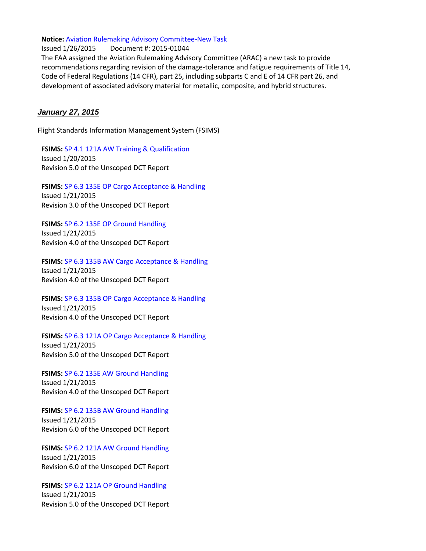#### **Notice:** [Aviation Rulemaking Advisory Committee-New Task](https://www.federalregister.gov/articles/2015/01/26/2015-01044/aviation-rulemaking-advisory-committee-new-task)

Issued 1/26/2015 Document #: 2015-01044 The FAA assigned the Aviation Rulemaking Advisory Committee (ARAC) a new task to provide recommendations regarding revision of the damage-tolerance and fatigue requirements of Title 14, Code of Federal Regulations (14 CFR), part 25, including subparts C and E of 14 CFR part 26, and development of associated advisory material for metallic, composite, and hybrid structures.

#### *January 27, 2015*

Flight Standards Information Management System (FSIMS)

**FSIMS:** [SP 4.1 121A AW Training & Qualification](http://fsims.faa.gov/PICDetail.aspx?docId=SP%204.1%20121A%20AW%205.0) Issued 1/20/2015 Revision 5.0 of the Unscoped DCT Report

**FSIMS:** [SP 6.3 135E OP Cargo Acceptance & Handling](http://fsims.faa.gov/PICDetail.aspx?docId=SP%206.3%20135E%20OP%203.0) Issued 1/21/2015 Revision 3.0 of the Unscoped DCT Report

**FSIMS:** [SP 6.2 135E OP Ground Handling](http://fsims.faa.gov/PICDetail.aspx?docId=SP%206.2%20135E%20OP%204.0) Issued 1/21/2015 Revision 4.0 of the Unscoped DCT Report

**FSIMS:** [SP 6.3 135B AW Cargo Acceptance & Handling](http://fsims.faa.gov/PICDetail.aspx?docId=SP%206.3%20135B%20AW%204.0) Issued 1/21/2015 Revision 4.0 of the Unscoped DCT Report

**FSIMS:** [SP 6.3 135B OP Cargo Acceptance & Handling](http://fsims.faa.gov/PICDetail.aspx?docId=SP%206.3%20135B%20OP%204.0) Issued 1/21/2015 Revision 4.0 of the Unscoped DCT Report

**FSIMS:** [SP 6.3 121A OP Cargo Acceptance & Handling](http://fsims.faa.gov/PICDetail.aspx?docId=SP%206.3%20121A%20OP%205.0) Issued 1/21/2015 Revision 5.0 of the Unscoped DCT Report

**FSIMS:** [SP 6.2 135E AW Ground Handling](http://fsims.faa.gov/PICDetail.aspx?docId=SP%206.2%20135E%20AW%204.0) Issued 1/21/2015 Revision 4.0 of the Unscoped DCT Report

**FSIMS:** [SP 6.2 135B AW Ground Handling](http://fsims.faa.gov/PICDetail.aspx?docId=SP%206.2%20135B%20AW%206.0) Issued 1/21/2015 Revision 6.0 of the Unscoped DCT Report

**FSIMS:** [SP 6.2 121A AW Ground Handling](http://fsims.faa.gov/PICDetail.aspx?docId=SP%206.2%20121A%20AW%206.0) Issued 1/21/2015 Revision 6.0 of the Unscoped DCT Report

**FSIMS:** [SP 6.2 121A OP Ground Handling](http://fsims.faa.gov/PICDetail.aspx?docId=SP%206.2%20121A%20OP%205.0) Issued 1/21/2015 Revision 5.0 of the Unscoped DCT Report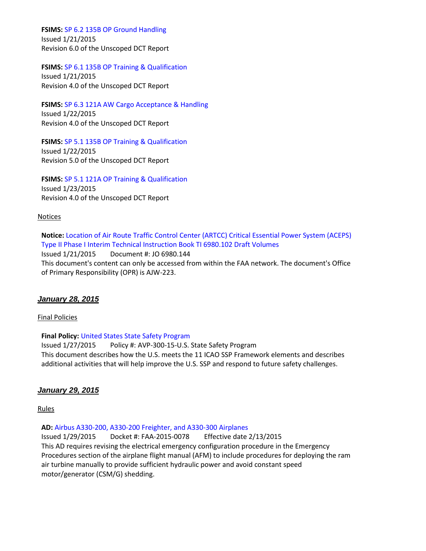**FSIMS:** [SP 6.2 135B OP Ground Handling](http://fsims.faa.gov/PICDetail.aspx?docId=SP%206.2%20135B%20OP%206.0) Issued 1/21/2015 Revision 6.0 of the Unscoped DCT Report

**FSIMS:** [SP 6.1 135B OP Training & Qualification](http://fsims.faa.gov/PICDetail.aspx?docId=SP%206.1%20135B%20OP%204.0)

Issued 1/21/2015 Revision 4.0 of the Unscoped DCT Report

**FSIMS:** [SP 6.3 121A AW Cargo Acceptance & Handling](http://fsims.faa.gov/PICDetail.aspx?docId=SP%206.3%20121A%20AW%204.0) Issued 1/22/2015 Revision 4.0 of the Unscoped DCT Report

**FSIMS:** [SP 5.1 135B OP Training & Qualification](http://fsims.faa.gov/PICDetail.aspx?docId=SP%205.1%20135B%20OP%205.0) Issued 1/22/2015 Revision 5.0 of the Unscoped DCT Report

**FSIMS:** [SP 5.1 121A OP Training & Qualification](http://fsims.faa.gov/PICDetail.aspx?docId=SP%205.1%20121A%20OP%204.0) Issued 1/23/2015 Revision 4.0 of the Unscoped DCT Report

#### Notices

**Notice:** [Location of Air Route Traffic Control Center \(ARTCC\) Critical Essential Power System \(ACEPS\)](http://www.faa.gov/regulations_policies/orders_notices/index.cfm/go/document.information/documentID/1026727)  [Type II Phase I Interim Technical Instruction Book TI 6980.102 Draft Volumes](http://www.faa.gov/regulations_policies/orders_notices/index.cfm/go/document.information/documentID/1026727) Issued 1/21/2015 Document #: JO 6980.144 This document's content can only be accessed from within the FAA network. The document's Office of Primary Responsibility (OPR) is AJW-223.

#### *January 28, 2015*

#### Final Policies

#### **Final Policy:** [United States State Safety Program](http://rgl.faa.gov/Regulatory_and_Guidance_Library/rgPolicy.nsf/0/5DD68010CCD6510886257DDB004CF84D?OpenDocument)

Issued 1/27/2015 Policy #: AVP-300-15-U.S. State Safety Program This document describes how the U.S. meets the 11 ICAO SSP Framework elements and describes additional activities that will help improve the U.S. SSP and respond to future safety challenges.

#### *January 29, 2015*

Rules

**AD:** [Airbus A330-200, A330-200 Freighter, and A330-300 Airplanes](https://www.federalregister.gov/articles/2015/01/29/2015-01178/airworthiness-directives-airbus-airplanes)

Issued 1/29/2015 Docket #: FAA-2015-0078 Effective date 2/13/2015 This AD requires revising the electrical emergency configuration procedure in the Emergency Procedures section of the airplane flight manual (AFM) to include procedures for deploying the ram air turbine manually to provide sufficient hydraulic power and avoid constant speed motor/generator (CSM/G) shedding.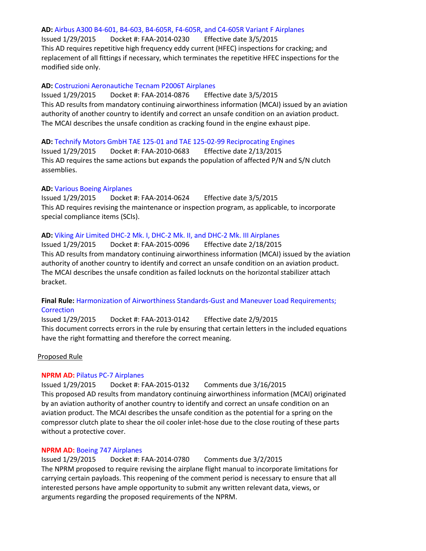#### **AD:** [Airbus A300 B4-601, B4-603, B4-605R, F4-605R, and C4-605R Variant F Airplanes](https://www.federalregister.gov/articles/2015/01/29/2015-00997/airworthiness-directives-airbus-airplanes)

Issued 1/29/2015 Docket #: FAA-2014-0230 Effective date 3/5/2015 This AD requires repetitive high frequency eddy current (HFEC) inspections for cracking; and replacement of all fittings if necessary, which terminates the repetitive HFEC inspections for the modified side only.

#### **AD:** [Costruzioni Aeronautiche Tecnam P2006T Airplanes](https://www.federalregister.gov/articles/2015/01/29/2015-00992/airworthiness-directives-costruzioni-aeronautiche-tecnam-srl-airplanes)

Issued 1/29/2015 Docket #: FAA-2014-0876 Effective date 3/5/2015 This AD results from mandatory continuing airworthiness information (MCAI) issued by an aviation authority of another country to identify and correct an unsafe condition on an aviation product. The MCAI describes the unsafe condition as cracking found in the engine exhaust pipe.

#### **AD:** Technify [Motors GmbH TAE 125-01 and TAE 125-02-99 Reciprocating Engines](https://www.federalregister.gov/articles/2015/01/29/2015-00991/airworthiness-directives-technify-motors-gmbh-type-certificate-previously-held-by-thielert-aircraft)

Issued 1/29/2015 Docket #: FAA-2010-0683 Effective date 2/13/2015 This AD requires the same actions but expands the population of affected P/N and S/N clutch assemblies.

#### **AD:** [Various Boeing Airplanes](https://www.federalregister.gov/articles/2015/01/29/2015-00999/airworthiness-directives-the-boeing-company-airplanes)

Issued 1/29/2015 Docket #: FAA-2014-0624 Effective date 3/5/2015 This AD requires revising the maintenance or inspection program, as applicable, to incorporate special compliance items (SCIs).

#### **AD:** [Viking Air Limited DHC-2 Mk. I, DHC-2 Mk. II, and DHC-2 Mk. III Airplanes](https://www.federalregister.gov/articles/2015/01/29/2015-00990/airworthiness-directives-viking-air-limited-airplanes)

Issued 1/29/2015 Docket #: FAA-2015-0096 Effective date 2/18/2015 This AD results from mandatory continuing airworthiness information (MCAI) issued by the aviation authority of another country to identify and correct an unsafe condition on an aviation product. The MCAI describes the unsafe condition as failed locknuts on the horizontal stabilizer attach bracket.

### **Final Rule:** [Harmonization of Airworthiness Standards-Gust and Maneuver Load Requirements;](https://www.federalregister.gov/articles/2015/01/29/2015-01205/harmonization-of-airworthiness-standards-gust-and-maneuver-load-requirements-correction)  **[Correction](https://www.federalregister.gov/articles/2015/01/29/2015-01205/harmonization-of-airworthiness-standards-gust-and-maneuver-load-requirements-correction)**

Issued 1/29/2015 Docket #: FAA-2013-0142 Effective date 2/9/2015 This document corrects errors in the rule by ensuring that certain letters in the included equations have the right formatting and therefore the correct meaning.

#### Proposed Rule

#### **NPRM AD:** [Pilatus PC-7 Airplanes](https://www.federalregister.gov/articles/2015/01/29/2015-01556/airworthiness-directives-pilatus-aircraft-ltd-airplanes)

Issued 1/29/2015 Docket #: FAA-2015-0132 Comments due 3/16/2015 This proposed AD results from mandatory continuing airworthiness information (MCAI) originated by an aviation authority of another country to identify and correct an unsafe condition on an aviation product. The MCAI describes the unsafe condition as the potential for a spring on the compressor clutch plate to shear the oil cooler inlet-hose due to the close routing of these parts without a protective cover.

#### **NPRM AD:** [Boeing 747 Airplanes](https://www.federalregister.gov/articles/2015/01/29/2015-01577/airworthiness-directives-the-boeing-company-airplanes)

Issued 1/29/2015 Docket #: FAA-2014-0780 Comments due 3/2/2015 The NPRM proposed to require revising the airplane flight manual to incorporate limitations for carrying certain payloads. This reopening of the comment period is necessary to ensure that all interested persons have ample opportunity to submit any written relevant data, views, or arguments regarding the proposed requirements of the NPRM.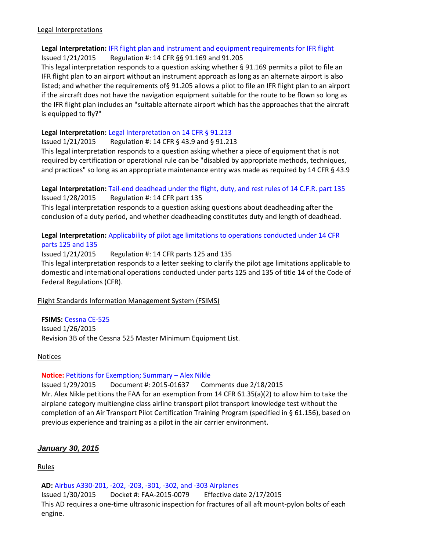#### Legal Interpretations

# **Legal Interpretation:** [IFR flight plan and instrument and equipment requirements for IFR flight](http://www.faa.gov/about/office_org/headquarters_offices/agc/pol_adjudication/agc200/interpretations/data/interps/2015/Collins%20-%20(2015)%20Legal%20Interpretation.pdf)

Issued 1/21/2015 Regulation #: 14 CFR §§ 91.169 and 91.205

This legal interpretation responds to a question asking whether § 91.169 permits a pilot to file an IFR flight plan to an airport without an instrument approach as long as an alternate airport is also listed; and whether the requirements of§ 91.205 allows a pilot to file an IFR flight plan to an airport if the aircraft does not have the navigation equipment suitable for the route to be flown so long as the IFR flight plan includes an "suitable alternate airport which has the approaches that the aircraft is equipped to fly?"

### **Legal Interpretation:** [Legal Interpretation on 14 CFR § 91.213](http://www.faa.gov/about/office_org/headquarters_offices/agc/pol_adjudication/agc200/interpretations/data/interps/2015/Cochran%20-%20(2015)%20Legal%20Interpretation.pdf)

Issued 1/21/2015 Regulation #: 14 CFR § 43.9 and § 91.213

This legal interpretation responds to a question asking whether a piece of equipment that is not required by certification or operational rule can be "disabled by appropriate methods, techniques, and practices" so long as an appropriate maintenance entry was made as required by 14 CFR § 43.9

#### **Legal Interpretation:** [Tail-end deadhead under the flight, duty, and rest rules of 14 C.F.R. part 135](http://www.faa.gov/about/office_org/headquarters_offices/agc/pol_adjudication/agc200/interpretations/data/interps/2015/Perdue-SP%20Aviation%20-%20(2015)%20Legal%20Interpretation.pdf) Issued 1/28/2015 Regulation #: 14 CFR part 135

This legal interpretation responds to a question asking questions about deadheading after the conclusion of a duty period, and whether deadheading constitutes duty and length of deadhead.

# **Legal Interpretation:** [Applicability of pilot age limitations to operations conducted under 14 CFR](http://www.faa.gov/about/office_org/headquarters_offices/agc/pol_adjudication/agc200/interpretations/data/interps/2015/Gomez%20-%20(2015)%20Legal%20Interpretation.pdf)  [parts 125 and 135](http://www.faa.gov/about/office_org/headquarters_offices/agc/pol_adjudication/agc200/interpretations/data/interps/2015/Gomez%20-%20(2015)%20Legal%20Interpretation.pdf)

Issued 1/21/2015 Regulation #: 14 CFR parts 125 and 135

This legal interpretation responds to a letter seeking to clarify the pilot age limitations applicable to domestic and international operations conducted under parts 125 and 135 of title 14 of the Code of Federal Regulations (CFR).

# Flight Standards Information Management System (FSIMS)

**FSIMS:** [Cessna CE-525](http://fsims.faa.gov/PICDetail.aspx?docId=M%20CE-525%20R3b)

Issued 1/26/2015 Revision 3B of the Cessna 525 Master Minimum Equipment List.

#### Notices

#### **Notice:** [Petitions for Exemption; Summary](https://www.federalregister.gov/articles/2015/01/29/2015-01637/petition-for-exemption-summary-of-petition-received) – Alex Nikle

Issued 1/29/2015 Document #: 2015-01637 Comments due 2/18/2015 Mr. Alex Nikle petitions the FAA for an exemption from 14 CFR 61.35(a)(2) to allow him to take the airplane category multiengine class airline transport pilot transport knowledge test without the completion of an Air Transport Pilot Certification Training Program (specified in § 61.156), based on previous experience and training as a pilot in the air carrier environment.

# *January 30, 2015*

Rules

**AD:** [Airbus A330-201, -202, -203, -301, -302, and -303 Airplanes](https://www.federalregister.gov/articles/2015/01/30/2015-01174/airworthiness-directives-airbus-airplanes)

Issued 1/30/2015 Docket #: FAA-2015-0079 Effective date 2/17/2015 This AD requires a one-time ultrasonic inspection for fractures of all aft mount-pylon bolts of each engine.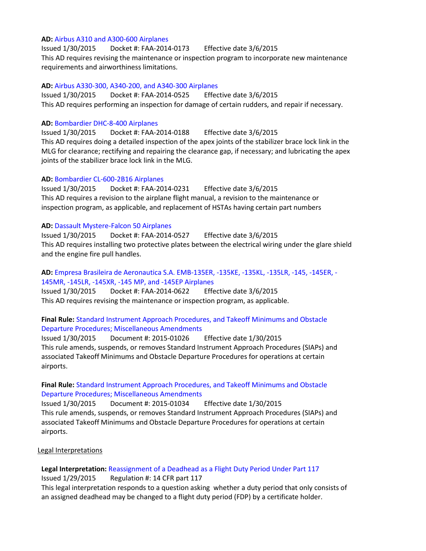#### **AD:** [Airbus A310 and A300-600 Airplanes](https://www.federalregister.gov/articles/2015/01/30/2015-01182/airworthiness-directives-airbus-airplanes)

Issued 1/30/2015 Docket #: FAA-2014-0173 Effective date 3/6/2015 This AD requires revising the maintenance or inspection program to incorporate new maintenance requirements and airworthiness limitations.

#### **AD:** [Airbus A330-300, A340-200, and A340-300 Airplanes](https://www.federalregister.gov/articles/2015/01/30/2015-01184/airworthiness-directives-airbus-airplanes)

Issued 1/30/2015 Docket #: FAA-2014-0525 Effective date 3/6/2015 This AD requires performing an inspection for damage of certain rudders, and repair if necessary.

#### **AD:** [Bombardier DHC-8-400 Airplanes](https://www.federalregister.gov/articles/2015/01/30/2015-01180/airworthiness-directives-bombardier-inc-airplanes)

Issued 1/30/2015 Docket #: FAA-2014-0188 Effective date 3/6/2015 This AD requires doing a detailed inspection of the apex joints of the stabilizer brace lock link in the MLG for clearance; rectifying and repairing the clearance gap, if necessary; and lubricating the apex joints of the stabilizer brace lock link in the MLG.

#### **AD:** [Bombardier CL-600-2B16 Airplanes](https://www.federalregister.gov/articles/2015/01/30/2015-01171/airworthiness-directives-bombardier-inc-airplanes)

Issued 1/30/2015 Docket #: FAA-2014-0231 Effective date 3/6/2015 This AD requires a revision to the airplane flight manual, a revision to the maintenance or inspection program, as applicable, and replacement of HSTAs having certain part numbers

#### **AD:** [Dassault Mystere-Falcon 50 Airplanes](https://www.federalregister.gov/articles/2015/01/30/2015-01185/airworthiness-directives-dassault-aviation-airplanes)

Issued 1/30/2015 Docket #: FAA-2014-0527 Effective date 3/6/2015 This AD requires installing two protective plates between the electrical wiring under the glare shield and the engine fire pull handles.

# **AD:** [Empresa Brasileira de Aeronautica S.A. EMB-135ER, -135KE, -135KL, -135LR, -145, -145ER, -](https://www.federalregister.gov/articles/2015/01/30/2015-01177/airworthiness-directives-empresa-brasileira-de-aeronautica-sa-embraer-airplanes) [145MR, -145LR, -145XR, -145 MP, and -145EP Airplanes](https://www.federalregister.gov/articles/2015/01/30/2015-01177/airworthiness-directives-empresa-brasileira-de-aeronautica-sa-embraer-airplanes)

Issued 1/30/2015 Docket #: FAA-2014-0622 Effective date 3/6/2015 This AD requires revising the maintenance or inspection program, as applicable.

### **Final Rule:** [Standard Instrument Approach Procedures, and Takeoff Minimums and Obstacle](https://www.federalregister.gov/articles/2015/01/30/2015-01026/standard-instrument-approach-procedures-and-takeoff-minimums-and-obstacle-departure-procedures)  [Departure Procedures; Miscellaneous Amendments](https://www.federalregister.gov/articles/2015/01/30/2015-01026/standard-instrument-approach-procedures-and-takeoff-minimums-and-obstacle-departure-procedures)

Issued 1/30/2015 Document #: 2015-01026 Effective date 1/30/2015 This rule amends, suspends, or removes Standard Instrument Approach Procedures (SIAPs) and associated Takeoff Minimums and Obstacle Departure Procedures for operations at certain airports.

### **Final Rule:** [Standard Instrument Approach Procedures, and Takeoff Minimums and Obstacle](https://www.federalregister.gov/articles/2015/01/30/2015-01034/standard-instrument-approach-procedures-and-takeoff-minimums-and-obstacle-departure-procedures)  [Departure Procedures; Miscellaneous Amendments](https://www.federalregister.gov/articles/2015/01/30/2015-01034/standard-instrument-approach-procedures-and-takeoff-minimums-and-obstacle-departure-procedures)

Issued 1/30/2015 Document #: 2015-01034 Effective date 1/30/2015 This rule amends, suspends, or removes Standard Instrument Approach Procedures (SIAPs) and associated Takeoff Minimums and Obstacle Departure Procedures for operations at certain airports.

#### Legal Interpretations

# **Legal Interpretation:** [Reassignment of a Deadhead as a Flight Duty Period Under Part 117](http://www.faa.gov/about/office_org/headquarters_offices/agc/pol_adjudication/agc200/interpretations/data/interps/2015/Fowler%20-%20(2015)%20Legal%20Interpretation.pdf)

Issued 1/29/2015 Regulation #: 14 CFR part 117

This legal interpretation responds to a question asking whether a duty period that only consists of an assigned deadhead may be changed to a flight duty period (FDP) by a certificate holder.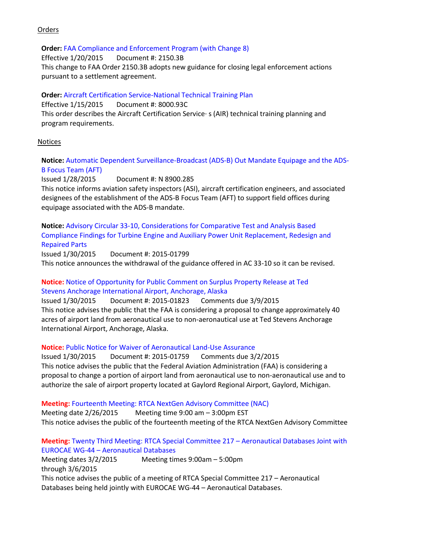### **Orders**

#### **Order:** [FAA Compliance and Enforcement Program \(with Change 8\)](http://www.faa.gov/regulations_policies/orders_notices/index.cfm/go/document.information/documentID/17213)

Effective 1/20/2015 Document #: 2150.3B This change to FAA Order 2150.3B adopts new guidance for closing legal enforcement actions pursuant to a settlement agreement.

### **Order:** [Aircraft Certification Service-National Technical Training Plan](http://www.faa.gov/regulations_policies/orders_notices/index.cfm/go/document.information/documentID/1026768)

Effective 1/15/2015 Document #: 8000.93C This order describes the Aircraft Certification Service· s (AIR) technical training planning and program requirements.

### Notices

## **Notice:** [Automatic Dependent Surveillance-Broadcast \(ADS-B\) Out Mandate Equipage and the ADS-](http://www.faa.gov/regulations_policies/orders_notices/index.cfm/go/document.information/documentID/1026749)[B Focus Team \(AFT\)](http://www.faa.gov/regulations_policies/orders_notices/index.cfm/go/document.information/documentID/1026749)

Issued 1/28/2015 Document #: N 8900.285 This notice informs aviation safety inspectors (ASI), aircraft certification engineers, and associated designees of the establishment of the ADS-B Focus Team (AFT) to support field offices during equipage associated with the ADS-B mandate.

**Notice:** [Advisory Circular 33-10, Considerations for Comparative Test and Analysis Based](https://www.federalregister.gov/articles/2015/01/30/2015-01799/advisory-circular-33-10-considerations-for-comparative-test-and-analysis-based-compliance-findings)  [Compliance Findings for Turbine Engine and Auxiliary Power Unit Replacement, Redesign and](https://www.federalregister.gov/articles/2015/01/30/2015-01799/advisory-circular-33-10-considerations-for-comparative-test-and-analysis-based-compliance-findings)  [Repaired Parts](https://www.federalregister.gov/articles/2015/01/30/2015-01799/advisory-circular-33-10-considerations-for-comparative-test-and-analysis-based-compliance-findings)

Issued 1/30/2015 Document #: 2015-01799 This notice announces the withdrawal of the guidance offered in AC 33-10 so it can be revised.

# **Notice:** [Notice of Opportunity for Public Comment on Surplus Property Release at Ted](https://www.federalregister.gov/articles/2015/01/30/2015-01823/notice-of-opportunity-for-public-comment-on-surplus-property-release-at-ted-stevens-anchorage) [Stevens Anchorage International Airport, Anchorage, Alaska](https://www.federalregister.gov/articles/2015/01/30/2015-01823/notice-of-opportunity-for-public-comment-on-surplus-property-release-at-ted-stevens-anchorage)

Issued 1/30/2015 Document #: 2015-01823 Comments due 3/9/2015 This notice advises the public that the FAA is considering a proposal to change approximately 40 acres of airport land from aeronautical use to non-aeronautical use at Ted Stevens Anchorage International Airport, Anchorage, Alaska.

# **Notice:** [Public Notice for Waiver of Aeronautical Land-Use Assurance](https://www.federalregister.gov/articles/2015/01/30/2015-01759/public-notice-for-waiver-of-aeronautical-land-use-assurance)

Issued 1/30/2015 Document #: 2015-01759 Comments due 3/2/2015 This notice advises the public that the Federal Aviation Administration (FAA) is considering a proposal to change a portion of airport land from aeronautical use to non-aeronautical use and to authorize the sale of airport property located at Gaylord Regional Airport, Gaylord, Michigan.

# **Meeting:** [Fourteenth Meeting: RTCA NextGen Advisory Committee \(NAC\)](https://www.federalregister.gov/articles/2015/01/30/2015-01801/fourteenth-meeting-rtca-nextgen-advisory-committee-nac)

Meeting date 2/26/2015 Meeting time 9:00 am – 3:00pm EST This notice advises the public of the fourteenth meeting of the RTCA NextGen Advisory Committee

### **Meeting:** [Twenty Third Meeting: RTCA Special Committee 217](https://www.federalregister.gov/articles/2015/01/30/2015-01824/twenty-third-meeting-rtca-special-committee-217-aeronautical-databases-joint-with-eurocae) – Aeronautical Databases Joint with EUROCAE WG-44 – [Aeronautical Databases](https://www.federalregister.gov/articles/2015/01/30/2015-01824/twenty-third-meeting-rtca-special-committee-217-aeronautical-databases-joint-with-eurocae)

Meeting dates 3/2/2015 through 3/6/2015 Meeting times 9:00am – 5:00pm This notice advises the public of a meeting of RTCA Special Committee 217 – Aeronautical Databases being held jointly with EUROCAE WG-44 – Aeronautical Databases.